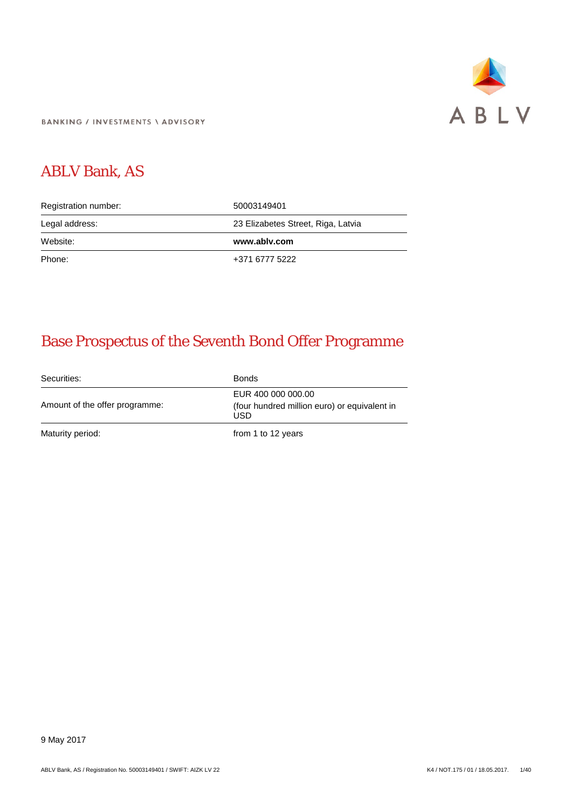

**BANKING / INVESTMENTS \ ADVISORY** 

# ABLV Bank, AS

| Registration number: | 50003149401                        |  |  |
|----------------------|------------------------------------|--|--|
| Legal address:       | 23 Elizabetes Street, Riga, Latvia |  |  |
|                      |                                    |  |  |
| Website:             | www.ablv.com                       |  |  |

# Base Prospectus of the Seventh Bond Offer Programme

Securities: Bonds Amount of the offer programme: EUR 400 000 000.00 (four hundred million euro) or equivalent in USD Maturity period: Maturity period: The Maturity period: The Maturity period: The Maturity period: The Maturity period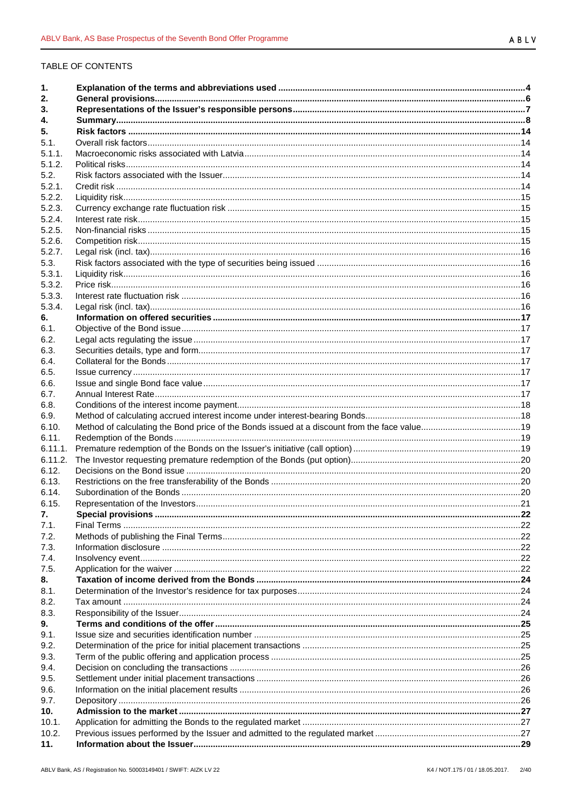# TABLE OF CONTENTS

| 1.      |  |
|---------|--|
| 2.      |  |
| 3.      |  |
| 4.      |  |
| 5.      |  |
| 5.1.    |  |
| 5.1.1.  |  |
| 5.1.2.  |  |
| 5.2.    |  |
| 5.2.1.  |  |
| 5.2.2.  |  |
| 5.2.3.  |  |
| 5.2.4.  |  |
| 5.2.5.  |  |
| 5.2.6.  |  |
| 5.2.7.  |  |
| 5.3.    |  |
| 5.3.1.  |  |
| 5.3.2.  |  |
| 5.3.3.  |  |
| 5.3.4.  |  |
| 6.      |  |
| 6.1.    |  |
| 6.2.    |  |
| 6.3.    |  |
| 6.4.    |  |
| 6.5.    |  |
| 6.6.    |  |
| 6.7.    |  |
| 6.8.    |  |
| 6.9.    |  |
| 6.10.   |  |
| 6.11.   |  |
| 6.11.1. |  |
| 6.11.2. |  |
| 6.12.   |  |
| 6.13.   |  |
| 6.14.   |  |
| 6.15.   |  |
| 7.      |  |
| 7.1.    |  |
| 7.2.    |  |
| 7.3.    |  |
| 7.4.    |  |
| 7.5.    |  |
| 8.      |  |
| 8.1.    |  |
| 8.2.    |  |
| 8.3.    |  |
| 9.      |  |
| 9.1.    |  |
| 9.2.    |  |
| 9.3.    |  |
| 9.4.    |  |
| 9.5.    |  |
| 9.6.    |  |
| 9.7.    |  |
| 10.     |  |
| 10.1.   |  |
| 10.2.   |  |
| 11.     |  |
|         |  |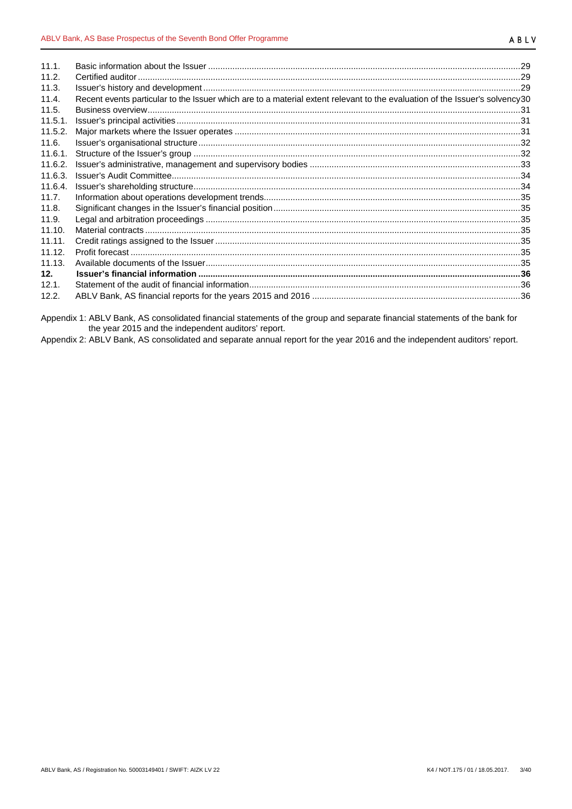| 11.1.   |                                                                                                                             |  |
|---------|-----------------------------------------------------------------------------------------------------------------------------|--|
| 11.2.   |                                                                                                                             |  |
| 11.3.   |                                                                                                                             |  |
| 11.4.   | Recent events particular to the Issuer which are to a material extent relevant to the evaluation of the Issuer's solvency30 |  |
| 11.5.   |                                                                                                                             |  |
| 11.5.1. |                                                                                                                             |  |
| 11.5.2. |                                                                                                                             |  |
| 11.6.   |                                                                                                                             |  |
| 11.6.1. |                                                                                                                             |  |
| 11.6.2. |                                                                                                                             |  |
| 11.6.3. |                                                                                                                             |  |
| 11.6.4. |                                                                                                                             |  |
| 11.7.   |                                                                                                                             |  |
| 11.8.   |                                                                                                                             |  |
| 11.9.   |                                                                                                                             |  |
| 11.10.  |                                                                                                                             |  |
| 11.11.  |                                                                                                                             |  |
| 11.12.  |                                                                                                                             |  |
| 11.13.  |                                                                                                                             |  |
| 12.     |                                                                                                                             |  |
| 12.1.   |                                                                                                                             |  |
| 12.2.   |                                                                                                                             |  |

Appendix 1: ABLV Bank, AS consolidated financial statements of the group and separate financial statements of the bank for the year 2015 and the independent auditors' report.

Appendix 2: ABLV Bank, AS consolidated and separate annual report for the year 2016 and the independent auditors' report.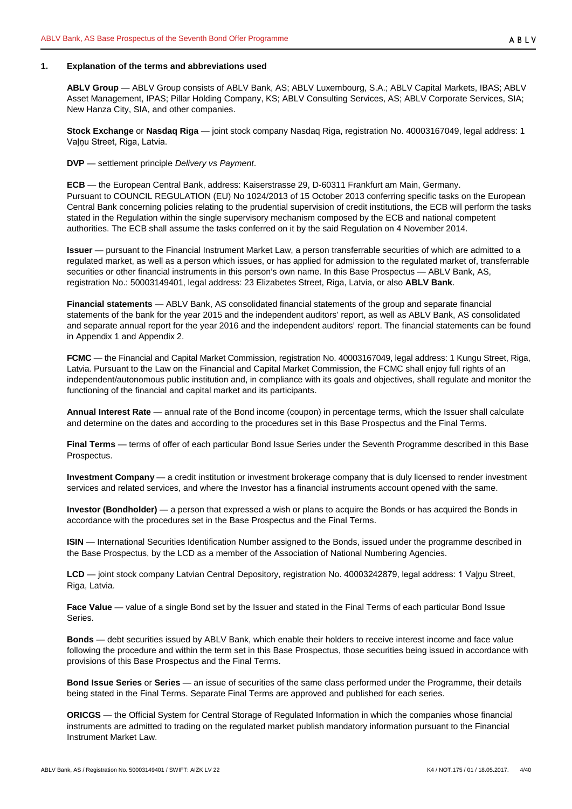## <span id="page-3-0"></span>**1. Explanation of the terms and abbreviations used**

**ABLV Group** — ABLV Group consists of ABLV Bank, AS; ABLV Luxembourg, S.A.; ABLV Capital Markets, IBAS; ABLV Asset Management, IPAS; Pillar Holding Company, KS; ABLV Consulting Services, AS; ABLV Corporate Services, SIA; New Hanza City, SIA, and other companies.

**Stock Exchange** or **Nasdaq Riga** — joint stock company Nasdaq Riga, registration No. 40003167049, legal address: 1 Vaļņu Street, Riga, Latvia.

**DVP** — settlement principle *Delivery vs Payment*.

**ECB** — the European Central Bank, address: Kaiserstrasse 29, D-60311 Frankfurt am Main, Germany. Pursuant to COUNCIL REGULATION (EU) No 1024/2013 of 15 October 2013 conferring specific tasks on the European Central Bank concerning policies relating to the prudential supervision of credit institutions, the ECB will perform the tasks stated in the Regulation within the single supervisory mechanism composed by the ECB and national competent authorities. The ECB shall assume the tasks conferred on it by the said Regulation on 4 November 2014.

**Issuer** — pursuant to the Financial Instrument Market Law, a person transferrable securities of which are admitted to a regulated market, as well as a person which issues, or has applied for admission to the regulated market of, transferrable securities or other financial instruments in this person's own name. In this Base Prospectus — ABLV Bank, AS, registration No.: 50003149401, legal address: 23 Elizabetes Street, Riga, Latvia, or also **ABLV Bank**.

**Financial statements** — ABLV Bank, AS consolidated financial statements of the group and separate financial statements of the bank for the year 2015 and the independent auditors' report, as well as ABLV Bank, AS consolidated and separate annual report for the year 2016 and the independent auditors' report. The financial statements can be found in Appendix 1 and Appendix 2.

**FCMC** — the Financial and Capital Market Commission, registration No. 40003167049, legal address: 1 Kungu Street, Riga, Latvia. Pursuant to the Law on the Financial and Capital Market Commission, the FCMC shall enjoy full rights of an independent/autonomous public institution and, in compliance with its goals and objectives, shall regulate and monitor the functioning of the financial and capital market and its participants.

**Annual Interest Rate** — annual rate of the Bond income (coupon) in percentage terms, which the Issuer shall calculate and determine on the dates and according to the procedures set in this Base Prospectus and the Final Terms.

**Final Terms** — terms of offer of each particular Bond Issue Series under the Seventh Programme described in this Base Prospectus.

**Investment Company** — a credit institution or investment brokerage company that is duly licensed to render investment services and related services, and where the Investor has a financial instruments account opened with the same.

**Investor (Bondholder)** — a person that expressed a wish or plans to acquire the Bonds or has acquired the Bonds in accordance with the procedures set in the Base Prospectus and the Final Terms.

**ISIN** — International Securities Identification Number assigned to the Bonds, issued under the programme described in the Base Prospectus, by the LCD as a member of the Association of National Numbering Agencies.

**LCD** — joint stock company Latvian Central Depository, registration No. 40003242879, legal address: 1 Vaļņu Street, Riga, Latvia.

**Face Value** — value of a single Bond set by the Issuer and stated in the Final Terms of each particular Bond Issue Series.

**Bonds** — debt securities issued by ABLV Bank, which enable their holders to receive interest income and face value following the procedure and within the term set in this Base Prospectus, those securities being issued in accordance with provisions of this Base Prospectus and the Final Terms.

**Bond Issue Series** or **Series** — an issue of securities of the same class performed under the Programme, their details being stated in the Final Terms. Separate Final Terms are approved and published for each series.

**ORICGS** — the Official System for Central Storage of Regulated Information in which the companies whose financial instruments are admitted to trading on the regulated market publish mandatory information pursuant to the Financial Instrument Market Law.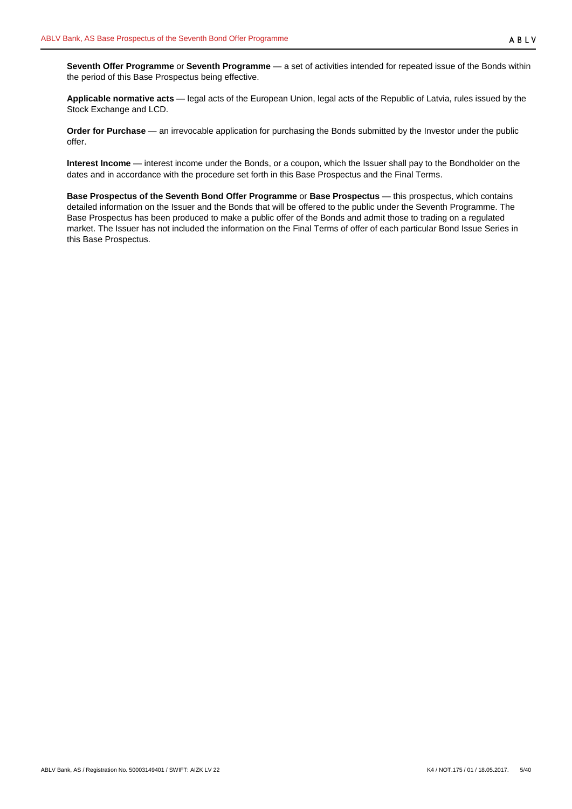**Applicable normative acts** — legal acts of the European Union, legal acts of the Republic of Latvia, rules issued by the Stock Exchange and LCD.

**Order for Purchase** — an irrevocable application for purchasing the Bonds submitted by the Investor under the public offer.

**Interest Income** — interest income under the Bonds, or a coupon, which the Issuer shall pay to the Bondholder on the dates and in accordance with the procedure set forth in this Base Prospectus and the Final Terms.

**Base Prospectus of the Seventh Bond Offer Programme** or **Base Prospectus** — this prospectus, which contains detailed information on the Issuer and the Bonds that will be offered to the public under the Seventh Programme. The Base Prospectus has been produced to make a public offer of the Bonds and admit those to trading on a regulated market. The Issuer has not included the information on the Final Terms of offer of each particular Bond Issue Series in this Base Prospectus.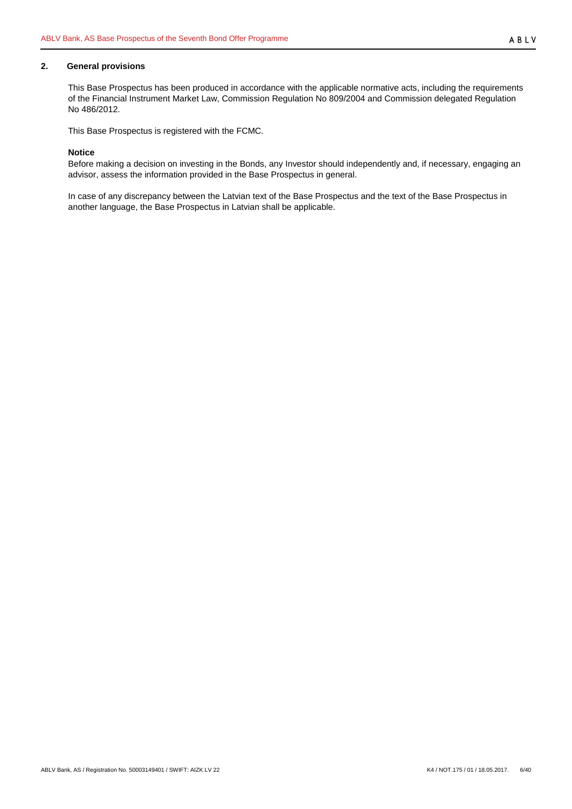# <span id="page-5-0"></span>**2. General provisions**

This Base Prospectus has been produced in accordance with the applicable normative acts, including the requirements of the Financial Instrument Market Law, Commission Regulation No 809/2004 and Commission delegated Regulation No 486/2012.

This Base Prospectus is registered with the FCMC.

#### **Notice**

Before making a decision on investing in the Bonds, any Investor should independently and, if necessary, engaging an advisor, assess the information provided in the Base Prospectus in general.

In case of any discrepancy between the Latvian text of the Base Prospectus and the text of the Base Prospectus in another language, the Base Prospectus in Latvian shall be applicable.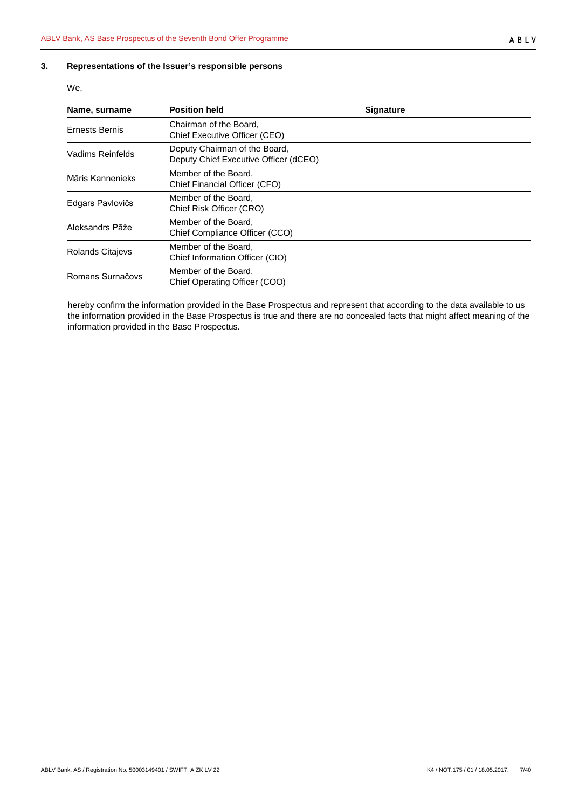# <span id="page-6-0"></span>**3. Representations of the Issuer's responsible persons**

We,

| Name, surname           | <b>Position held</b>                                                   | <b>Signature</b> |
|-------------------------|------------------------------------------------------------------------|------------------|
| Ernests Bernis          | Chairman of the Board,<br>Chief Executive Officer (CEO)                |                  |
| Vadims Reinfelds        | Deputy Chairman of the Board,<br>Deputy Chief Executive Officer (dCEO) |                  |
| Māris Kannenieks        | Member of the Board,<br>Chief Financial Officer (CFO)                  |                  |
| Edgars Pavlovičs        | Member of the Board.<br>Chief Risk Officer (CRO)                       |                  |
| Aleksandrs Pāže         | Member of the Board.<br>Chief Compliance Officer (CCO)                 |                  |
| <b>Rolands Citajevs</b> | Member of the Board.<br>Chief Information Officer (CIO)                |                  |
| Romans Surnačovs        | Member of the Board,<br>Chief Operating Officer (COO)                  |                  |

hereby confirm the information provided in the Base Prospectus and represent that according to the data available to us the information provided in the Base Prospectus is true and there are no concealed facts that might affect meaning of the information provided in the Base Prospectus.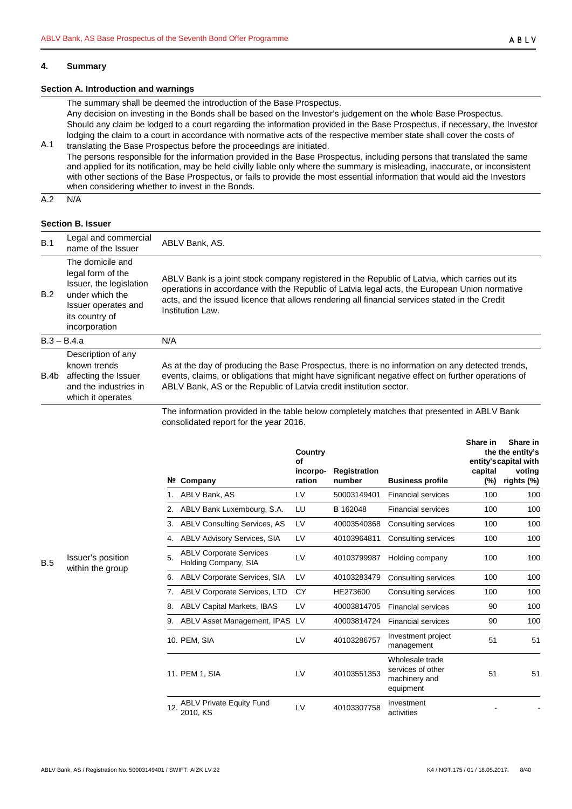#### <span id="page-7-0"></span>**4. Summary**

# **Section A. Introduction and warnings**

The summary shall be deemed the introduction of the Base Prospectus.

Any decision on investing in the Bonds shall be based on the Investor's judgement on the whole Base Prospectus. Should any claim be lodged to a court regarding the information provided in the Base Prospectus, if necessary, the Investor lodging the claim to a court in accordance with normative acts of the respective member state shall cover the costs of

A.1 translating the Base Prospectus before the proceedings are initiated. The persons responsible for the information provided in the Base Prospectus, including persons that translated the same and applied for its notification, may be held civilly liable only where the summary is misleading, inaccurate, or inconsistent with other sections of the Base Prospectus, or fails to provide the most essential information that would aid the Investors when considering whether to invest in the Bonds.

A.2 N/A

# **Section B. Issuer**

| B.1  | Legal and commercial<br>name of the Issuer                                                                                                    | ABLV Bank, AS.                                                                                                                                                                                                                                                                                                        |
|------|-----------------------------------------------------------------------------------------------------------------------------------------------|-----------------------------------------------------------------------------------------------------------------------------------------------------------------------------------------------------------------------------------------------------------------------------------------------------------------------|
| B.2  | The domicile and<br>legal form of the<br>Issuer, the legislation<br>under which the<br>Issuer operates and<br>its country of<br>incorporation | ABLV Bank is a joint stock company registered in the Republic of Latvia, which carries out its<br>operations in accordance with the Republic of Latvia legal acts, the European Union normative<br>acts, and the issued licence that allows rendering all financial services stated in the Credit<br>Institution Law. |
|      | $B.3 - B.4.a$                                                                                                                                 | N/A                                                                                                                                                                                                                                                                                                                   |
| B.4b | Description of any<br>known trends<br>affecting the Issuer<br>and the industries in<br>which it operates                                      | As at the day of producing the Base Prospectus, there is no information on any detected trends,<br>events, claims, or obligations that might have significant negative effect on further operations of<br>ABLV Bank, AS or the Republic of Latvia credit institution sector.                                          |
|      |                                                                                                                                               | The information provided in the table below completely matches that presented in ADI V Papk                                                                                                                                                                                                                           |

The information provided in the table below completely matches that presented in ABLV Bank consolidated report for the year 2016.

|     |                                                        | Country<br>of      |                               |                                                                    | Share in          | Share in<br>the the entity's<br>entity's capital with |
|-----|--------------------------------------------------------|--------------------|-------------------------------|--------------------------------------------------------------------|-------------------|-------------------------------------------------------|
| Nº. | Company                                                | incorpo-<br>ration | <b>Registration</b><br>number | <b>Business profile</b>                                            | capital<br>$(\%)$ | voting<br>rights (%)                                  |
| 1.  | ABLV Bank, AS                                          | LV                 | 50003149401                   | <b>Financial services</b>                                          | 100               | 100                                                   |
| 2.  | ABLV Bank Luxembourg, S.A.                             | LU                 | B 162048                      | <b>Financial services</b>                                          | 100               | 100                                                   |
| 3.  | <b>ABLV Consulting Services, AS</b>                    | LV                 | 40003540368                   | Consulting services                                                | 100               | 100                                                   |
| 4.  | <b>ABLV Advisory Services, SIA</b>                     | LV                 | 40103964811                   | Consulting services                                                | 100               | 100                                                   |
| 5.  | <b>ABLV Corporate Services</b><br>Holding Company, SIA | LV                 | 40103799987                   | Holding company                                                    | 100               | 100                                                   |
| 6.  | ABLV Corporate Services, SIA                           | LV                 | 40103283479                   | Consulting services                                                | 100               | 100                                                   |
| 7.  | ABLV Corporate Services, LTD                           | CY                 | HE273600                      | Consulting services                                                | 100               | 100                                                   |
| 8.  | <b>ABLV Capital Markets, IBAS</b>                      | LV                 | 40003814705                   | <b>Financial services</b>                                          | 90                | 100                                                   |
| 9.  | ABLV Asset Management, IPAS LV                         |                    | 40003814724                   | <b>Financial services</b>                                          | 90                | 100                                                   |
|     | 10. PEM, SIA                                           | LV                 | 40103286757                   | Investment project<br>management                                   | 51                | 51                                                    |
|     | 11. PEM 1, SIA                                         | LV                 | 40103551353                   | Wholesale trade<br>services of other<br>machinery and<br>equipment | 51                | 51                                                    |
| 12. | <b>ABLV Private Equity Fund</b><br>2010. KS            | IV                 | 40103307758                   | Investment<br>activities                                           |                   |                                                       |

B.5 Issuer's position within the group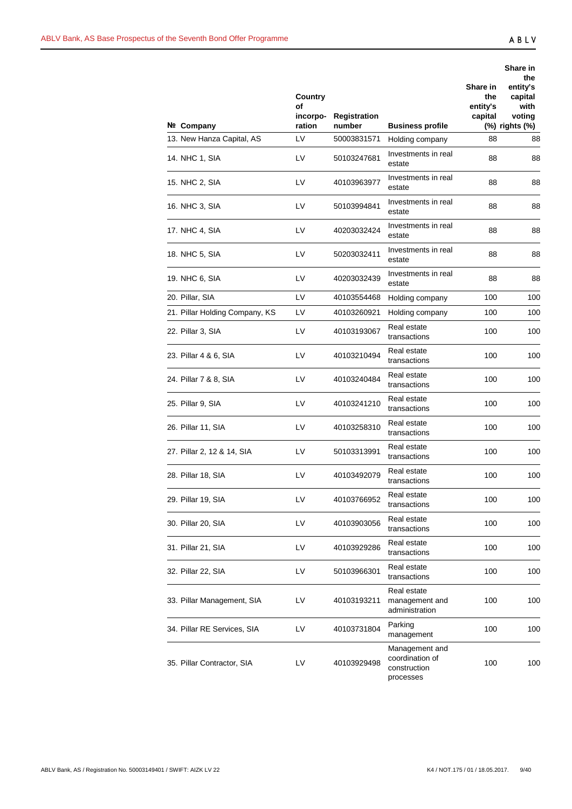|                                         | Country<br>οf<br>incorpo- | <b>Registration</b>   |                                                                | Share in<br>the<br>entity's<br>capital | Share in<br>the<br>entity's<br>capital<br>with<br>voting |
|-----------------------------------------|---------------------------|-----------------------|----------------------------------------------------------------|----------------------------------------|----------------------------------------------------------|
| Nº Company<br>13. New Hanza Capital, AS | ration<br>LV              | number<br>50003831571 | <b>Business profile</b><br>Holding company                     | 88                                     | (%) rights (%)<br>88                                     |
| 14. NHC 1, SIA                          | LV                        | 50103247681           | Investments in real<br>estate                                  | 88                                     | 88                                                       |
| 15. NHC 2, SIA                          | LV                        | 40103963977           | Investments in real<br>estate                                  | 88                                     | 88                                                       |
| 16. NHC 3, SIA                          | LV                        | 50103994841           | Investments in real<br>estate                                  | 88                                     | 88                                                       |
| 17. NHC 4, SIA                          | LV                        | 40203032424           | Investments in real<br>estate                                  | 88                                     | 88                                                       |
| 18. NHC 5, SIA                          | LV                        | 50203032411           | Investments in real<br>estate                                  | 88                                     | 88                                                       |
| 19. NHC 6, SIA                          | LV                        | 40203032439           | Investments in real<br>estate                                  | 88                                     | 88                                                       |
| 20. Pillar, SIA                         | LV                        | 40103554468           | Holding company                                                | 100                                    | 100                                                      |
| 21. Pillar Holding Company, KS          | LV                        | 40103260921           | Holding company                                                | 100                                    | 100                                                      |
| 22. Pillar 3, SIA                       | LV                        | 40103193067           | Real estate<br>transactions                                    | 100                                    | 100                                                      |
| 23. Pillar 4 & 6, SIA                   | LV                        | 40103210494           | Real estate<br>transactions                                    | 100                                    | 100                                                      |
| 24. Pillar 7 & 8, SIA                   | LV                        | 40103240484           | Real estate<br>transactions                                    | 100                                    | 100                                                      |
| 25. Pillar 9, SIA                       | LV                        | 40103241210           | Real estate<br>transactions                                    | 100                                    | 100                                                      |
| 26. Pillar 11, SIA                      | LV                        | 40103258310           | Real estate<br>transactions                                    | 100                                    | 100                                                      |
| 27. Pillar 2, 12 & 14, SIA              | LV                        | 50103313991           | Real estate<br>transactions                                    | 100                                    | 100                                                      |
| 28. Pillar 18, SIA                      | LV                        | 40103492079           | Real estate<br>transactions                                    | 100                                    | 100                                                      |
| 29. Pillar 19, SIA                      | LV                        | 40103766952           | Real estate<br>transactions                                    | 100                                    | 100                                                      |
| 30. Pillar 20, SIA                      | LV                        | 40103903056           | Real estate<br>transactions                                    | 100                                    | 100                                                      |
| 31. Pillar 21, SIA                      | LV                        | 40103929286           | Real estate<br>transactions                                    | 100                                    | 100                                                      |
| 32. Pillar 22, SIA                      | LV                        | 50103966301           | Real estate<br>transactions                                    | 100                                    | 100                                                      |
| 33. Pillar Management, SIA              | LV                        | 40103193211           | Real estate<br>management and<br>administration                | 100                                    | 100                                                      |
| 34. Pillar RE Services, SIA             | LV                        | 40103731804           | Parking<br>management                                          | 100                                    | 100                                                      |
| 35. Pillar Contractor, SIA              | LV                        | 40103929498           | Management and<br>coordination of<br>construction<br>processes | 100                                    | 100                                                      |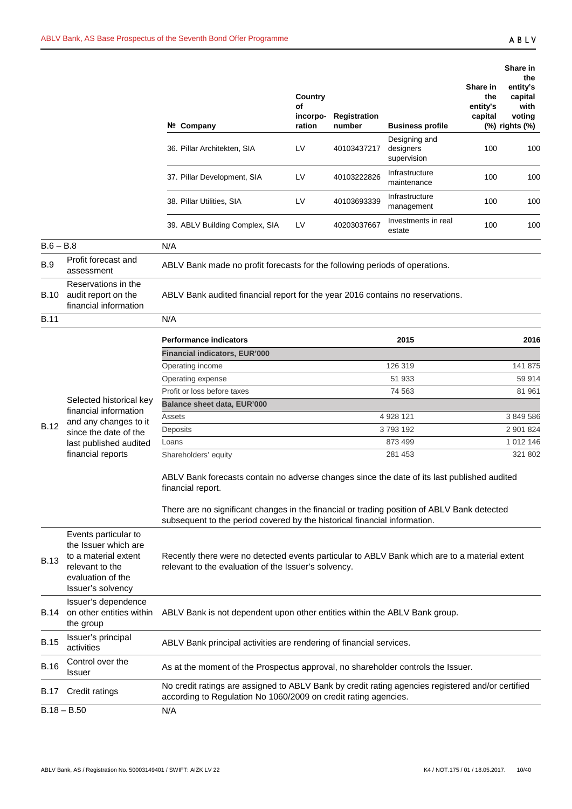|             |                                                                                                              |                                                                                                                                                                                                                                                                                                                                                                                                                                                       |                                     |                        |                                           |                                        | Share in                                                       |
|-------------|--------------------------------------------------------------------------------------------------------------|-------------------------------------------------------------------------------------------------------------------------------------------------------------------------------------------------------------------------------------------------------------------------------------------------------------------------------------------------------------------------------------------------------------------------------------------------------|-------------------------------------|------------------------|-------------------------------------------|----------------------------------------|----------------------------------------------------------------|
|             |                                                                                                              | Nº Company                                                                                                                                                                                                                                                                                                                                                                                                                                            | Country<br>οf<br>incorpo-<br>ration | Registration<br>number | <b>Business profile</b>                   | Share in<br>the<br>entity's<br>capital | the<br>entity's<br>capital<br>with<br>voting<br>(%) rights (%) |
|             |                                                                                                              | 36. Pillar Architekten, SIA                                                                                                                                                                                                                                                                                                                                                                                                                           | LV                                  | 40103437217            | Designing and<br>designers<br>supervision | 100                                    | 100                                                            |
|             |                                                                                                              | 37. Pillar Development, SIA                                                                                                                                                                                                                                                                                                                                                                                                                           | LV                                  | 40103222826            | Infrastructure<br>maintenance             | 100                                    | 100                                                            |
|             |                                                                                                              | 38. Pillar Utilities, SIA                                                                                                                                                                                                                                                                                                                                                                                                                             | LV                                  | 40103693339            | Infrastructure<br>management              | 100                                    | 100                                                            |
|             |                                                                                                              | 39. ABLV Building Complex, SIA                                                                                                                                                                                                                                                                                                                                                                                                                        | LV                                  | 40203037667            | Investments in real<br>estate             | 100                                    | 100                                                            |
| $B.6 - B.8$ |                                                                                                              | N/A                                                                                                                                                                                                                                                                                                                                                                                                                                                   |                                     |                        |                                           |                                        |                                                                |
| B.9         | Profit forecast and<br>assessment                                                                            | ABLV Bank made no profit forecasts for the following periods of operations.                                                                                                                                                                                                                                                                                                                                                                           |                                     |                        |                                           |                                        |                                                                |
| B.10        | Reservations in the<br>audit report on the<br>financial information                                          | ABLV Bank audited financial report for the year 2016 contains no reservations.                                                                                                                                                                                                                                                                                                                                                                        |                                     |                        |                                           |                                        |                                                                |
| <b>B.11</b> |                                                                                                              | N/A                                                                                                                                                                                                                                                                                                                                                                                                                                                   |                                     |                        |                                           |                                        |                                                                |
|             |                                                                                                              | <b>Performance indicators</b>                                                                                                                                                                                                                                                                                                                                                                                                                         |                                     |                        | 2015                                      |                                        | 2016                                                           |
|             |                                                                                                              | Financial indicators, EUR'000                                                                                                                                                                                                                                                                                                                                                                                                                         |                                     |                        |                                           |                                        |                                                                |
|             |                                                                                                              | Operating income                                                                                                                                                                                                                                                                                                                                                                                                                                      |                                     |                        | 126 319                                   |                                        | 141 875                                                        |
|             |                                                                                                              | Operating expense                                                                                                                                                                                                                                                                                                                                                                                                                                     |                                     |                        | 51 933                                    |                                        | 59 914                                                         |
|             |                                                                                                              | Profit or loss before taxes                                                                                                                                                                                                                                                                                                                                                                                                                           |                                     |                        | 74 563                                    |                                        | 81 961                                                         |
|             | Selected historical key                                                                                      | <b>Balance sheet data, EUR'000</b>                                                                                                                                                                                                                                                                                                                                                                                                                    |                                     |                        |                                           |                                        |                                                                |
|             | financial information<br>and any changes to it                                                               | Assets                                                                                                                                                                                                                                                                                                                                                                                                                                                |                                     |                        | 4 928 121                                 |                                        | 3 849 586                                                      |
| <b>B.12</b> | since the date of the                                                                                        | Deposits                                                                                                                                                                                                                                                                                                                                                                                                                                              |                                     |                        | 3793192                                   |                                        | 2 901 824                                                      |
|             | last published audited                                                                                       | Loans                                                                                                                                                                                                                                                                                                                                                                                                                                                 |                                     |                        | 873 499                                   |                                        | 1 012 146                                                      |
|             | financial reports                                                                                            | Shareholders' equity                                                                                                                                                                                                                                                                                                                                                                                                                                  |                                     |                        | 281 453                                   |                                        | 321 802                                                        |
| <b>B.13</b> | Events particular to<br>the Issuer which are<br>to a material extent<br>relevant to the<br>evaluation of the | ABLV Bank forecasts contain no adverse changes since the date of its last published audited<br>financial report.<br>There are no significant changes in the financial or trading position of ABLV Bank detected<br>subsequent to the period covered by the historical financial information.<br>Recently there were no detected events particular to ABLV Bank which are to a material extent<br>relevant to the evaluation of the Issuer's solvency. |                                     |                        |                                           |                                        |                                                                |
| B.14        | Issuer's solvency<br>Issuer's dependence<br>on other entities within                                         | ABLV Bank is not dependent upon other entities within the ABLV Bank group.                                                                                                                                                                                                                                                                                                                                                                            |                                     |                        |                                           |                                        |                                                                |
|             | the group                                                                                                    |                                                                                                                                                                                                                                                                                                                                                                                                                                                       |                                     |                        |                                           |                                        |                                                                |
| <b>B.15</b> | Issuer's principal<br>activities                                                                             | ABLV Bank principal activities are rendering of financial services.                                                                                                                                                                                                                                                                                                                                                                                   |                                     |                        |                                           |                                        |                                                                |
| <b>B.16</b> | Control over the<br>Issuer                                                                                   | As at the moment of the Prospectus approval, no shareholder controls the Issuer.                                                                                                                                                                                                                                                                                                                                                                      |                                     |                        |                                           |                                        |                                                                |
| B.17        | Credit ratings                                                                                               | No credit ratings are assigned to ABLV Bank by credit rating agencies registered and/or certified<br>according to Regulation No 1060/2009 on credit rating agencies.                                                                                                                                                                                                                                                                                  |                                     |                        |                                           |                                        |                                                                |
|             | $B.18 - B.50$                                                                                                | N/A                                                                                                                                                                                                                                                                                                                                                                                                                                                   |                                     |                        |                                           |                                        |                                                                |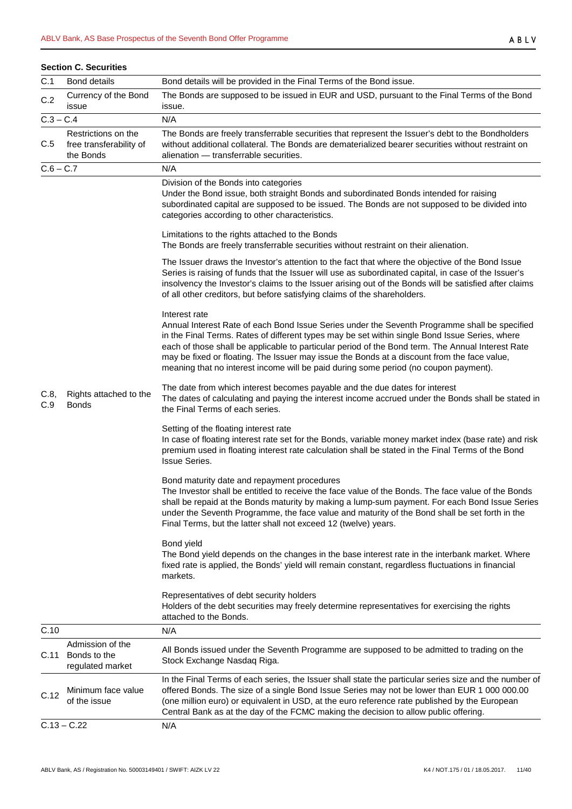|             | <b>Section C. Securities</b>                                |                                                                                                                                                                                                                                                                                                                                                                                                                                                                                                                                                                                                                                                                                                                                                                                                                                                                                                                                                                                                                                                                                                                                                                                                                                                                                                                                                                                                                                                                                                                                                                                                                                                                                                                                                                                                                                                                                                                                                                                                                                                                                                                                                                                                                                                                                                                                                                                                                                                                                                                                                                                                                                                                                             |
|-------------|-------------------------------------------------------------|---------------------------------------------------------------------------------------------------------------------------------------------------------------------------------------------------------------------------------------------------------------------------------------------------------------------------------------------------------------------------------------------------------------------------------------------------------------------------------------------------------------------------------------------------------------------------------------------------------------------------------------------------------------------------------------------------------------------------------------------------------------------------------------------------------------------------------------------------------------------------------------------------------------------------------------------------------------------------------------------------------------------------------------------------------------------------------------------------------------------------------------------------------------------------------------------------------------------------------------------------------------------------------------------------------------------------------------------------------------------------------------------------------------------------------------------------------------------------------------------------------------------------------------------------------------------------------------------------------------------------------------------------------------------------------------------------------------------------------------------------------------------------------------------------------------------------------------------------------------------------------------------------------------------------------------------------------------------------------------------------------------------------------------------------------------------------------------------------------------------------------------------------------------------------------------------------------------------------------------------------------------------------------------------------------------------------------------------------------------------------------------------------------------------------------------------------------------------------------------------------------------------------------------------------------------------------------------------------------------------------------------------------------------------------------------------|
| C.1         | <b>Bond details</b>                                         | Bond details will be provided in the Final Terms of the Bond issue.                                                                                                                                                                                                                                                                                                                                                                                                                                                                                                                                                                                                                                                                                                                                                                                                                                                                                                                                                                                                                                                                                                                                                                                                                                                                                                                                                                                                                                                                                                                                                                                                                                                                                                                                                                                                                                                                                                                                                                                                                                                                                                                                                                                                                                                                                                                                                                                                                                                                                                                                                                                                                         |
| C.2         | Currency of the Bond<br>issue                               | The Bonds are supposed to be issued in EUR and USD, pursuant to the Final Terms of the Bond<br>issue.                                                                                                                                                                                                                                                                                                                                                                                                                                                                                                                                                                                                                                                                                                                                                                                                                                                                                                                                                                                                                                                                                                                                                                                                                                                                                                                                                                                                                                                                                                                                                                                                                                                                                                                                                                                                                                                                                                                                                                                                                                                                                                                                                                                                                                                                                                                                                                                                                                                                                                                                                                                       |
| $C.3 - C.4$ |                                                             | N/A                                                                                                                                                                                                                                                                                                                                                                                                                                                                                                                                                                                                                                                                                                                                                                                                                                                                                                                                                                                                                                                                                                                                                                                                                                                                                                                                                                                                                                                                                                                                                                                                                                                                                                                                                                                                                                                                                                                                                                                                                                                                                                                                                                                                                                                                                                                                                                                                                                                                                                                                                                                                                                                                                         |
| C.5         | Restrictions on the<br>free transferability of<br>the Bonds | The Bonds are freely transferrable securities that represent the Issuer's debt to the Bondholders<br>without additional collateral. The Bonds are dematerialized bearer securities without restraint on<br>alienation - transferrable securities.                                                                                                                                                                                                                                                                                                                                                                                                                                                                                                                                                                                                                                                                                                                                                                                                                                                                                                                                                                                                                                                                                                                                                                                                                                                                                                                                                                                                                                                                                                                                                                                                                                                                                                                                                                                                                                                                                                                                                                                                                                                                                                                                                                                                                                                                                                                                                                                                                                           |
| $C.6 - C.7$ |                                                             | N/A                                                                                                                                                                                                                                                                                                                                                                                                                                                                                                                                                                                                                                                                                                                                                                                                                                                                                                                                                                                                                                                                                                                                                                                                                                                                                                                                                                                                                                                                                                                                                                                                                                                                                                                                                                                                                                                                                                                                                                                                                                                                                                                                                                                                                                                                                                                                                                                                                                                                                                                                                                                                                                                                                         |
| C.8,<br>C.9 | Rights attached to the<br><b>Bonds</b>                      | Division of the Bonds into categories<br>Under the Bond issue, both straight Bonds and subordinated Bonds intended for raising<br>subordinated capital are supposed to be issued. The Bonds are not supposed to be divided into<br>categories according to other characteristics.<br>Limitations to the rights attached to the Bonds<br>The Bonds are freely transferrable securities without restraint on their alienation.<br>The Issuer draws the Investor's attention to the fact that where the objective of the Bond Issue<br>Series is raising of funds that the Issuer will use as subordinated capital, in case of the Issuer's<br>insolvency the Investor's claims to the Issuer arising out of the Bonds will be satisfied after claims<br>of all other creditors, but before satisfying claims of the shareholders.<br>Interest rate<br>Annual Interest Rate of each Bond Issue Series under the Seventh Programme shall be specified<br>in the Final Terms. Rates of different types may be set within single Bond Issue Series, where<br>each of those shall be applicable to particular period of the Bond term. The Annual Interest Rate<br>may be fixed or floating. The Issuer may issue the Bonds at a discount from the face value,<br>meaning that no interest income will be paid during some period (no coupon payment).<br>The date from which interest becomes payable and the due dates for interest<br>The dates of calculating and paying the interest income accrued under the Bonds shall be stated in<br>the Final Terms of each series.<br>Setting of the floating interest rate<br>In case of floating interest rate set for the Bonds, variable money market index (base rate) and risk<br>premium used in floating interest rate calculation shall be stated in the Final Terms of the Bond<br><b>Issue Series.</b><br>Bond maturity date and repayment procedures<br>The Investor shall be entitled to receive the face value of the Bonds. The face value of the Bonds<br>shall be repaid at the Bonds maturity by making a lump-sum payment. For each Bond Issue Series<br>under the Seventh Programme, the face value and maturity of the Bond shall be set forth in the<br>Final Terms, but the latter shall not exceed 12 (twelve) years.<br>Bond yield<br>The Bond yield depends on the changes in the base interest rate in the interbank market. Where<br>fixed rate is applied, the Bonds' yield will remain constant, regardless fluctuations in financial<br>markets.<br>Representatives of debt security holders<br>Holders of the debt securities may freely determine representatives for exercising the rights<br>attached to the Bonds. |
| C.10        |                                                             | N/A                                                                                                                                                                                                                                                                                                                                                                                                                                                                                                                                                                                                                                                                                                                                                                                                                                                                                                                                                                                                                                                                                                                                                                                                                                                                                                                                                                                                                                                                                                                                                                                                                                                                                                                                                                                                                                                                                                                                                                                                                                                                                                                                                                                                                                                                                                                                                                                                                                                                                                                                                                                                                                                                                         |
| C.11        | Admission of the<br>Bonds to the<br>regulated market        | All Bonds issued under the Seventh Programme are supposed to be admitted to trading on the<br>Stock Exchange Nasdaq Riga.                                                                                                                                                                                                                                                                                                                                                                                                                                                                                                                                                                                                                                                                                                                                                                                                                                                                                                                                                                                                                                                                                                                                                                                                                                                                                                                                                                                                                                                                                                                                                                                                                                                                                                                                                                                                                                                                                                                                                                                                                                                                                                                                                                                                                                                                                                                                                                                                                                                                                                                                                                   |
| C.12        | Minimum face value<br>of the issue                          | In the Final Terms of each series, the Issuer shall state the particular series size and the number of<br>offered Bonds. The size of a single Bond Issue Series may not be lower than EUR 1 000 000.00<br>(one million euro) or equivalent in USD, at the euro reference rate published by the European<br>Central Bank as at the day of the FCMC making the decision to allow public offering.                                                                                                                                                                                                                                                                                                                                                                                                                                                                                                                                                                                                                                                                                                                                                                                                                                                                                                                                                                                                                                                                                                                                                                                                                                                                                                                                                                                                                                                                                                                                                                                                                                                                                                                                                                                                                                                                                                                                                                                                                                                                                                                                                                                                                                                                                             |
|             | $C.13 - C.22$                                               | N/A                                                                                                                                                                                                                                                                                                                                                                                                                                                                                                                                                                                                                                                                                                                                                                                                                                                                                                                                                                                                                                                                                                                                                                                                                                                                                                                                                                                                                                                                                                                                                                                                                                                                                                                                                                                                                                                                                                                                                                                                                                                                                                                                                                                                                                                                                                                                                                                                                                                                                                                                                                                                                                                                                         |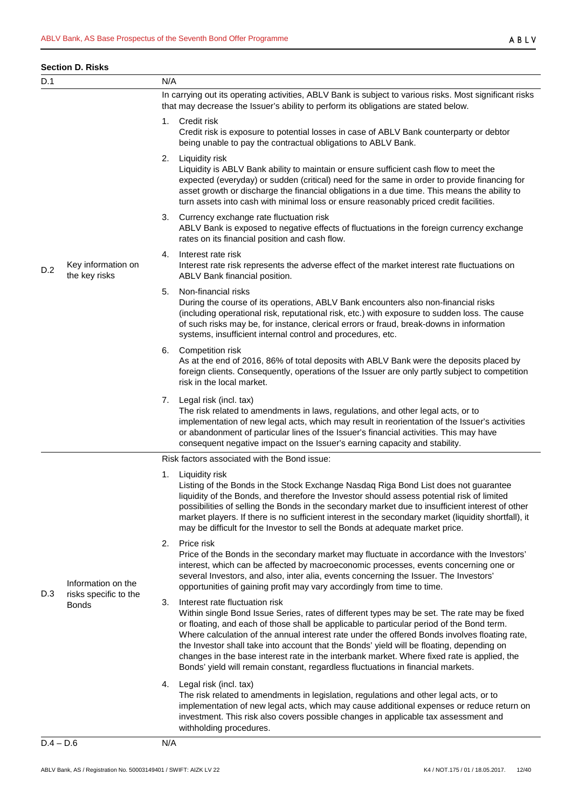#### **Section D. Risks**

| D.1         |                                                             | N/A |                                                                                                                                                                                                                                                                                                                                                                                                                                                                                                                                                                                                             |
|-------------|-------------------------------------------------------------|-----|-------------------------------------------------------------------------------------------------------------------------------------------------------------------------------------------------------------------------------------------------------------------------------------------------------------------------------------------------------------------------------------------------------------------------------------------------------------------------------------------------------------------------------------------------------------------------------------------------------------|
|             |                                                             |     | In carrying out its operating activities, ABLV Bank is subject to various risks. Most significant risks<br>that may decrease the Issuer's ability to perform its obligations are stated below.                                                                                                                                                                                                                                                                                                                                                                                                              |
|             |                                                             | 1.  | Credit risk<br>Credit risk is exposure to potential losses in case of ABLV Bank counterparty or debtor<br>being unable to pay the contractual obligations to ABLV Bank.                                                                                                                                                                                                                                                                                                                                                                                                                                     |
|             |                                                             |     | 2. Liquidity risk<br>Liquidity is ABLV Bank ability to maintain or ensure sufficient cash flow to meet the<br>expected (everyday) or sudden (critical) need for the same in order to provide financing for<br>asset growth or discharge the financial obligations in a due time. This means the ability to<br>turn assets into cash with minimal loss or ensure reasonably priced credit facilities.                                                                                                                                                                                                        |
|             |                                                             | 3.  | Currency exchange rate fluctuation risk<br>ABLV Bank is exposed to negative effects of fluctuations in the foreign currency exchange<br>rates on its financial position and cash flow.                                                                                                                                                                                                                                                                                                                                                                                                                      |
| D.2         | Key information on<br>the key risks                         | 4.  | Interest rate risk<br>Interest rate risk represents the adverse effect of the market interest rate fluctuations on<br>ABLV Bank financial position.                                                                                                                                                                                                                                                                                                                                                                                                                                                         |
|             |                                                             | 5.  | Non-financial risks<br>During the course of its operations, ABLV Bank encounters also non-financial risks<br>(including operational risk, reputational risk, etc.) with exposure to sudden loss. The cause<br>of such risks may be, for instance, clerical errors or fraud, break-downs in information<br>systems, insufficient internal control and procedures, etc.                                                                                                                                                                                                                                       |
|             |                                                             | 6.  | Competition risk<br>As at the end of 2016, 86% of total deposits with ABLV Bank were the deposits placed by<br>foreign clients. Consequently, operations of the Issuer are only partly subject to competition<br>risk in the local market.                                                                                                                                                                                                                                                                                                                                                                  |
|             |                                                             |     | 7. Legal risk (incl. tax)<br>The risk related to amendments in laws, regulations, and other legal acts, or to<br>implementation of new legal acts, which may result in reorientation of the Issuer's activities<br>or abandonment of particular lines of the Issuer's financial activities. This may have<br>consequent negative impact on the Issuer's earning capacity and stability.                                                                                                                                                                                                                     |
|             |                                                             |     | Risk factors associated with the Bond issue:                                                                                                                                                                                                                                                                                                                                                                                                                                                                                                                                                                |
|             | Information on the<br>risks specific to the<br><b>Bonds</b> | 1.  | Liquidity risk<br>Listing of the Bonds in the Stock Exchange Nasdaq Riga Bond List does not guarantee<br>liquidity of the Bonds, and therefore the Investor should assess potential risk of limited<br>possibilities of selling the Bonds in the secondary market due to insufficient interest of other<br>market players. If there is no sufficient interest in the secondary market (liquidity shortfall), it<br>may be difficult for the Investor to sell the Bonds at adequate market price.                                                                                                            |
| D.3         |                                                             | 2.  | Price risk<br>Price of the Bonds in the secondary market may fluctuate in accordance with the Investors'<br>interest, which can be affected by macroeconomic processes, events concerning one or<br>several Investors, and also, inter alia, events concerning the Issuer. The Investors'<br>opportunities of gaining profit may vary accordingly from time to time.                                                                                                                                                                                                                                        |
|             |                                                             | 3.  | Interest rate fluctuation risk<br>Within single Bond Issue Series, rates of different types may be set. The rate may be fixed<br>or floating, and each of those shall be applicable to particular period of the Bond term.<br>Where calculation of the annual interest rate under the offered Bonds involves floating rate,<br>the Investor shall take into account that the Bonds' yield will be floating, depending on<br>changes in the base interest rate in the interbank market. Where fixed rate is applied, the<br>Bonds' yield will remain constant, regardless fluctuations in financial markets. |
|             |                                                             | 4.  | Legal risk (incl. tax)<br>The risk related to amendments in legislation, regulations and other legal acts, or to<br>implementation of new legal acts, which may cause additional expenses or reduce return on<br>investment. This risk also covers possible changes in applicable tax assessment and<br>withholding procedures.                                                                                                                                                                                                                                                                             |
| $D.4 - D.6$ |                                                             | N/A |                                                                                                                                                                                                                                                                                                                                                                                                                                                                                                                                                                                                             |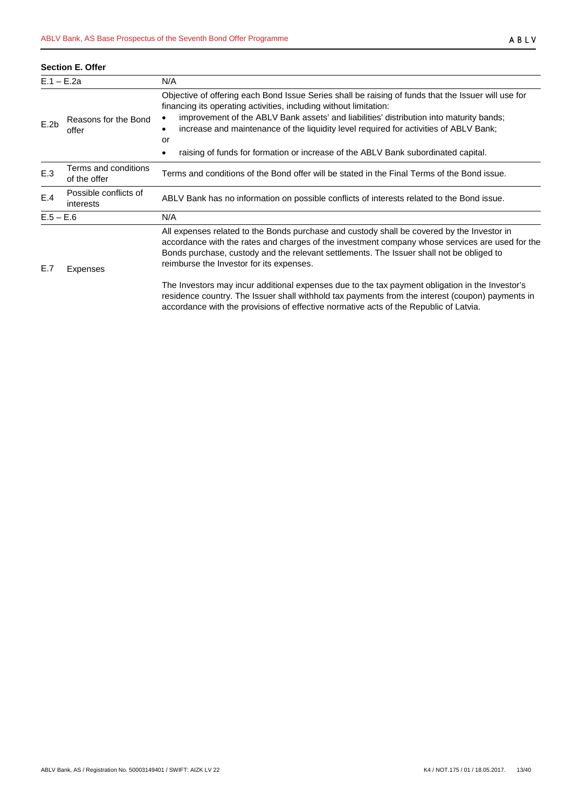|                                       | <b>Section E. Offer</b>                                         |                                                                                                                                                                                                                                                                                                                                                                                                                                                                                |  |  |
|---------------------------------------|-----------------------------------------------------------------|--------------------------------------------------------------------------------------------------------------------------------------------------------------------------------------------------------------------------------------------------------------------------------------------------------------------------------------------------------------------------------------------------------------------------------------------------------------------------------|--|--|
|                                       | $E.1 - E.2a$                                                    | N/A                                                                                                                                                                                                                                                                                                                                                                                                                                                                            |  |  |
| Reasons for the Bond<br>E.2b<br>offer |                                                                 | Objective of offering each Bond Issue Series shall be raising of funds that the Issuer will use for<br>financing its operating activities, including without limitation:<br>improvement of the ABLV Bank assets' and liabilities' distribution into maturity bands;<br>٠<br>increase and maintenance of the liquidity level required for activities of ABLV Bank;<br>$\bullet$<br>or<br>raising of funds for formation or increase of the ABLV Bank subordinated capital.<br>٠ |  |  |
| E.3                                   | Terms and conditions<br>$\sim$ for $\sim$ for $\sim$ for $\sim$ | Terms and conditions of the Bond offer will be stated in the Final Terms of the Bond issue.                                                                                                                                                                                                                                                                                                                                                                                    |  |  |

| E.3         | of the offer                       | Terms and conditions of the Bond offer will be stated in the Final Terms of the Bond issue.                                                                                                                                                                                                                                           |
|-------------|------------------------------------|---------------------------------------------------------------------------------------------------------------------------------------------------------------------------------------------------------------------------------------------------------------------------------------------------------------------------------------|
| E.4         | Possible conflicts of<br>interests | ABLV Bank has no information on possible conflicts of interests related to the Bond issue.                                                                                                                                                                                                                                            |
| $E.5 - E.6$ |                                    | N/A                                                                                                                                                                                                                                                                                                                                   |
| E.7         | Expenses                           | All expenses related to the Bonds purchase and custody shall be covered by the Investor in<br>accordance with the rates and charges of the investment company whose services are used for the<br>Bonds purchase, custody and the relevant settlements. The Issuer shall not be obliged to<br>reimburse the Investor for its expenses. |
|             |                                    | The Investors may incur additional expenses due to the tax payment obligation in the Investor's<br>residence country. The Issuer shall withhold tax payments from the interest (coupon) payments in                                                                                                                                   |

accordance with the provisions of effective normative acts of the Republic of Latvia.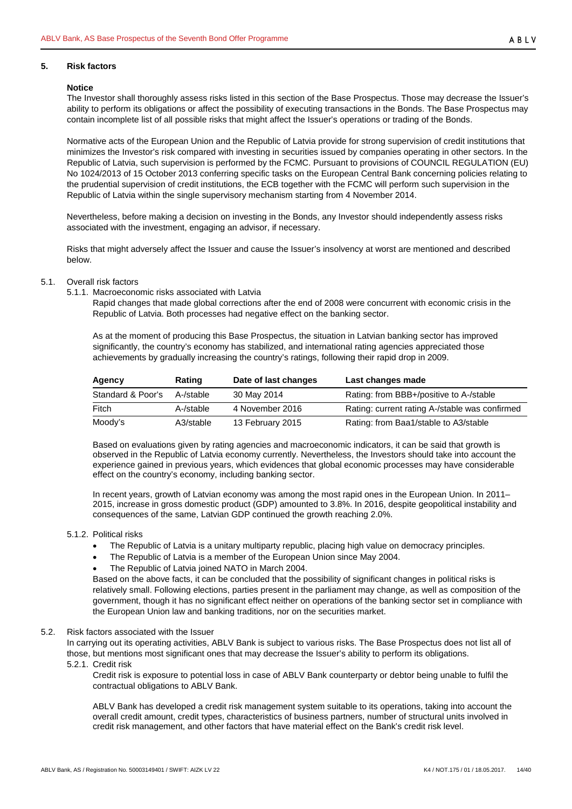# <span id="page-13-0"></span>**5. Risk factors**

#### **Notice**

The Investor shall thoroughly assess risks listed in this section of the Base Prospectus. Those may decrease the Issuer's ability to perform its obligations or affect the possibility of executing transactions in the Bonds. The Base Prospectus may contain incomplete list of all possible risks that might affect the Issuer's operations or trading of the Bonds.

Normative acts of the European Union and the Republic of Latvia provide for strong supervision of credit institutions that minimizes the Investor's risk compared with investing in securities issued by companies operating in other sectors. In the Republic of Latvia, such supervision is performed by the FCMC. Pursuant to provisions of COUNCIL REGULATION (EU) No 1024/2013 of 15 October 2013 conferring specific tasks on the European Central Bank concerning policies relating to the prudential supervision of credit institutions, the ECB together with the FCMC will perform such supervision in the Republic of Latvia within the single supervisory mechanism starting from 4 November 2014.

Nevertheless, before making a decision on investing in the Bonds, any Investor should independently assess risks associated with the investment, engaging an advisor, if necessary.

Risks that might adversely affect the Issuer and cause the Issuer's insolvency at worst are mentioned and described below.

- <span id="page-13-2"></span><span id="page-13-1"></span>5.1. Overall risk factors
	- 5.1.1. Macroeconomic risks associated with Latvia

Rapid changes that made global corrections after the end of 2008 were concurrent with economic crisis in the Republic of Latvia. Both processes had negative effect on the banking sector.

As at the moment of producing this Base Prospectus, the situation in Latvian banking sector has improved significantly, the country's economy has stabilized, and international rating agencies appreciated those achievements by gradually increasing the country's ratings, following their rapid drop in 2009.

| Agency            | Rating    | Date of last changes | Last changes made                              |
|-------------------|-----------|----------------------|------------------------------------------------|
| Standard & Poor's | A-/stable | 30 May 2014          | Rating: from BBB+/positive to A-/stable        |
| Fitch             | A-/stable | 4 November 2016      | Rating: current rating A-/stable was confirmed |
| Moody's           | A3/stable | 13 February 2015     | Rating: from Baa1/stable to A3/stable          |

Based on evaluations given by rating agencies and macroeconomic indicators, it can be said that growth is observed in the Republic of Latvia economy currently. Nevertheless, the Investors should take into account the experience gained in previous years, which evidences that global economic processes may have considerable effect on the country's economy, including banking sector.

In recent years, growth of Latvian economy was among the most rapid ones in the European Union. In 2011– 2015, increase in gross domestic product (GDP) amounted to 3.8%. In 2016, despite geopolitical instability and consequences of the same, Latvian GDP continued the growth reaching 2.0%.

- <span id="page-13-3"></span>5.1.2. Political risks
	- The Republic of Latvia is a unitary multiparty republic, placing high value on democracy principles.
	- The Republic of Latvia is a member of the European Union since May 2004.
	- The Republic of Latvia joined NATO in March 2004.

Based on the above facts, it can be concluded that the possibility of significant changes in political risks is relatively small. Following elections, parties present in the parliament may change, as well as composition of the government, though it has no significant effect neither on operations of the banking sector set in compliance with the European Union law and banking traditions, nor on the securities market.

#### <span id="page-13-4"></span>5.2. Risk factors associated with the Issuer

In carrying out its operating activities, ABLV Bank is subject to various risks. The Base Prospectus does not list all of those, but mentions most significant ones that may decrease the Issuer's ability to perform its obligations.

<span id="page-13-5"></span>5.2.1. Credit risk

Credit risk is exposure to potential loss in case of ABLV Bank counterparty or debtor being unable to fulfil the contractual obligations to ABLV Bank.

ABLV Bank has developed a credit risk management system suitable to its operations, taking into account the overall credit amount, credit types, characteristics of business partners, number of structural units involved in credit risk management, and other factors that have material effect on the Bank's credit risk level.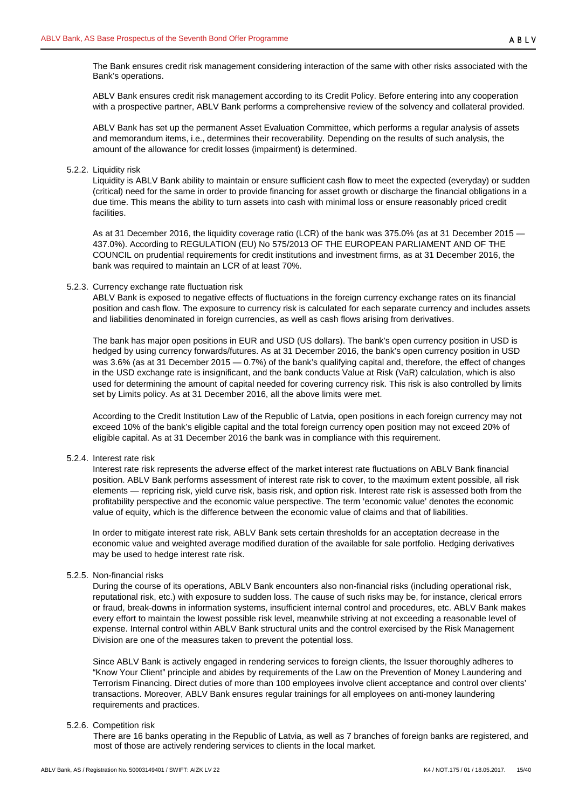ABLV Bank ensures credit risk management according to its Credit Policy. Before entering into any cooperation with a prospective partner, ABLV Bank performs a comprehensive review of the solvency and collateral provided.

ABLV Bank has set up the permanent Asset Evaluation Committee, which performs a regular analysis of assets and memorandum items, i.e., determines their recoverability. Depending on the results of such analysis, the amount of the allowance for credit losses (impairment) is determined.

#### <span id="page-14-0"></span>5.2.2. Liquidity risk

Liquidity is ABLV Bank ability to maintain or ensure sufficient cash flow to meet the expected (everyday) or sudden (critical) need for the same in order to provide financing for asset growth or discharge the financial obligations in a due time. This means the ability to turn assets into cash with minimal loss or ensure reasonably priced credit facilities.

As at 31 December 2016, the liquidity coverage ratio (LCR) of the bank was 375.0% (as at 31 December 2015 — 437.0%). According to REGULATION (EU) No 575/2013 OF THE EUROPEAN PARLIAMENT AND OF THE COUNCIL on prudential requirements for credit institutions and investment firms, as at 31 December 2016, the bank was required to maintain an LCR of at least 70%.

#### <span id="page-14-1"></span>5.2.3. Currency exchange rate fluctuation risk

ABLV Bank is exposed to negative effects of fluctuations in the foreign currency exchange rates on its financial position and cash flow. The exposure to currency risk is calculated for each separate currency and includes assets and liabilities denominated in foreign currencies, as well as cash flows arising from derivatives.

The bank has major open positions in EUR and USD (US dollars). The bank's open currency position in USD is hedged by using currency forwards/futures. As at 31 December 2016, the bank's open currency position in USD was 3.6% (as at 31 December 2015 — 0.7%) of the bank's qualifying capital and, therefore, the effect of changes in the USD exchange rate is insignificant, and the bank conducts Value at Risk (VaR) calculation, which is also used for determining the amount of capital needed for covering currency risk. This risk is also controlled by limits set by Limits policy. As at 31 December 2016, all the above limits were met.

According to the Credit Institution Law of the Republic of Latvia, open positions in each foreign currency may not exceed 10% of the bank's eligible capital and the total foreign currency open position may not exceed 20% of eligible capital. As at 31 December 2016 the bank was in compliance with this requirement.

## <span id="page-14-2"></span>5.2.4. Interest rate risk

Interest rate risk represents the adverse effect of the market interest rate fluctuations on ABLV Bank financial position. ABLV Bank performs assessment of interest rate risk to cover, to the maximum extent possible, all risk elements — repricing risk, yield curve risk, basis risk, and option risk. Interest rate risk is assessed both from the profitability perspective and the economic value perspective. The term 'economic value' denotes the economic value of equity, which is the difference between the economic value of claims and that of liabilities.

In order to mitigate interest rate risk, ABLV Bank sets certain thresholds for an acceptation decrease in the economic value and weighted average modified duration of the available for sale portfolio. Hedging derivatives may be used to hedge interest rate risk.

## <span id="page-14-3"></span>5.2.5. Non-financial risks

During the course of its operations, ABLV Bank encounters also non-financial risks (including operational risk, reputational risk, etc.) with exposure to sudden loss. The cause of such risks may be, for instance, clerical errors or fraud, break-downs in information systems, insufficient internal control and procedures, etc. ABLV Bank makes every effort to maintain the lowest possible risk level, meanwhile striving at not exceeding a reasonable level of expense. Internal control within ABLV Bank structural units and the control exercised by the Risk Management Division are one of the measures taken to prevent the potential loss.

Since ABLV Bank is actively engaged in rendering services to foreign clients, the Issuer thoroughly adheres to "Know Your Client" principle and abides by requirements of the Law on the Prevention of Money Laundering and Terrorism Financing. Direct duties of more than 100 employees involve client acceptance and control over clients' transactions. Moreover, ABLV Bank ensures regular trainings for all employees on anti-money laundering requirements and practices.

#### <span id="page-14-4"></span>5.2.6. Competition risk

There are 16 banks operating in the Republic of Latvia, as well as 7 branches of foreign banks are registered, and most of those are actively rendering services to clients in the local market.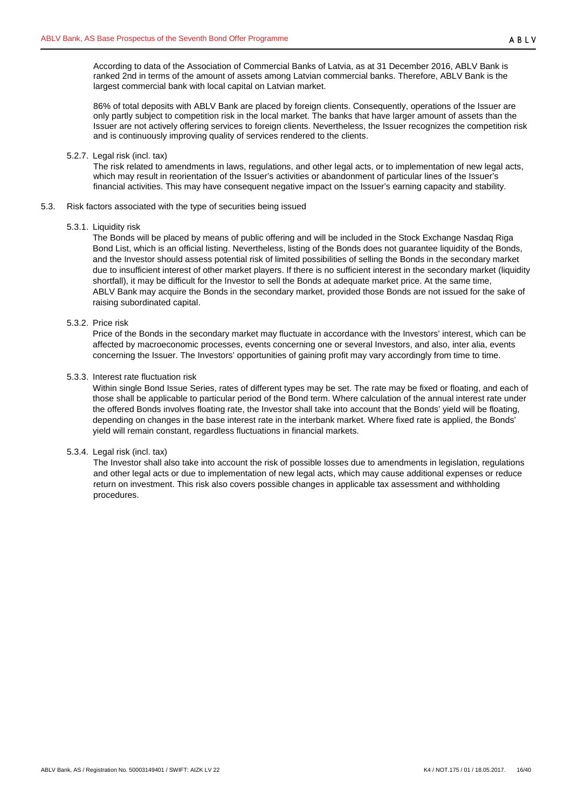According to data of the Association of Commercial Banks of Latvia, as at 31 December 2016, ABLV Bank is ranked 2nd in terms of the amount of assets among Latvian commercial banks. Therefore, ABLV Bank is the largest commercial bank with local capital on Latvian market.

86% of total deposits with ABLV Bank are placed by foreign clients. Consequently, operations of the Issuer are only partly subject to competition risk in the local market. The banks that have larger amount of assets than the Issuer are not actively offering services to foreign clients. Nevertheless, the Issuer recognizes the competition risk and is continuously improving quality of services rendered to the clients.

## <span id="page-15-0"></span>5.2.7. Legal risk (incl. tax)

The risk related to amendments in laws, regulations, and other legal acts, or to implementation of new legal acts, which may result in reorientation of the Issuer's activities or abandonment of particular lines of the Issuer's financial activities. This may have consequent negative impact on the Issuer's earning capacity and stability.

<span id="page-15-2"></span><span id="page-15-1"></span>5.3. Risk factors associated with the type of securities being issued

## 5.3.1. Liquidity risk

The Bonds will be placed by means of public offering and will be included in the Stock Exchange Nasdaq Riga Bond List, which is an official listing. Nevertheless, listing of the Bonds does not guarantee liquidity of the Bonds, and the Investor should assess potential risk of limited possibilities of selling the Bonds in the secondary market due to insufficient interest of other market players. If there is no sufficient interest in the secondary market (liquidity shortfall), it may be difficult for the Investor to sell the Bonds at adequate market price. At the same time, ABLV Bank may acquire the Bonds in the secondary market, provided those Bonds are not issued for the sake of raising subordinated capital.

# <span id="page-15-3"></span>5.3.2. Price risk

Price of the Bonds in the secondary market may fluctuate in accordance with the Investors' interest, which can be affected by macroeconomic processes, events concerning one or several Investors, and also, inter alia, events concerning the Issuer. The Investors' opportunities of gaining profit may vary accordingly from time to time.

# <span id="page-15-4"></span>5.3.3. Interest rate fluctuation risk

Within single Bond Issue Series, rates of different types may be set. The rate may be fixed or floating, and each of those shall be applicable to particular period of the Bond term. Where calculation of the annual interest rate under the offered Bonds involves floating rate, the Investor shall take into account that the Bonds' yield will be floating, depending on changes in the base interest rate in the interbank market. Where fixed rate is applied, the Bonds' yield will remain constant, regardless fluctuations in financial markets.

## <span id="page-15-5"></span>5.3.4. Legal risk (incl. tax)

The Investor shall also take into account the risk of possible losses due to amendments in legislation, regulations and other legal acts or due to implementation of new legal acts, which may cause additional expenses or reduce return on investment. This risk also covers possible changes in applicable tax assessment and withholding procedures.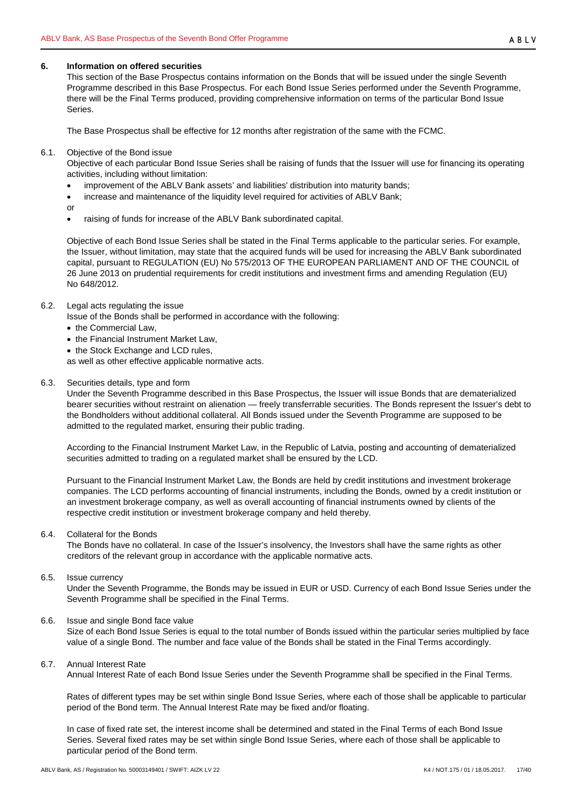#### <span id="page-16-0"></span>**6. Information on offered securities**

This section of the Base Prospectus contains information on the Bonds that will be issued under the single Seventh Programme described in this Base Prospectus. For each Bond Issue Series performed under the Seventh Programme, there will be the Final Terms produced, providing comprehensive information on terms of the particular Bond Issue Series.

The Base Prospectus shall be effective for 12 months after registration of the same with the FCMC.

<span id="page-16-1"></span>6.1. Objective of the Bond issue

Objective of each particular Bond Issue Series shall be raising of funds that the Issuer will use for financing its operating activities, including without limitation:

- improvement of the ABLV Bank assets' and liabilities' distribution into maturity bands;
- increase and maintenance of the liquidity level required for activities of ABLV Bank;
- or
- raising of funds for increase of the ABLV Bank subordinated capital.

Objective of each Bond Issue Series shall be stated in the Final Terms applicable to the particular series. For example, the Issuer, without limitation, may state that the acquired funds will be used for increasing the ABLV Bank subordinated capital, pursuant to REGULATION (EU) No 575/2013 OF THE EUROPEAN PARLIAMENT AND OF THE COUNCIL of 26 June 2013 on prudential requirements for credit institutions and investment firms and amending Regulation (EU) No 648/2012.

## <span id="page-16-2"></span>6.2. Legal acts regulating the issue

- Issue of the Bonds shall be performed in accordance with the following:
- the Commercial Law,
- the Financial Instrument Market Law,
- the Stock Exchange and LCD rules,

as well as other effective applicable normative acts.

<span id="page-16-3"></span>6.3. Securities details, type and form

Under the Seventh Programme described in this Base Prospectus, the Issuer will issue Bonds that are dematerialized bearer securities without restraint on alienation — freely transferrable securities. The Bonds represent the Issuer's debt to the Bondholders without additional collateral. All Bonds issued under the Seventh Programme are supposed to be admitted to the regulated market, ensuring their public trading.

According to the Financial Instrument Market Law, in the Republic of Latvia, posting and accounting of dematerialized securities admitted to trading on a regulated market shall be ensured by the LCD.

Pursuant to the Financial Instrument Market Law, the Bonds are held by credit institutions and investment brokerage companies. The LCD performs accounting of financial instruments, including the Bonds, owned by a credit institution or an investment brokerage company, as well as overall accounting of financial instruments owned by clients of the respective credit institution or investment brokerage company and held thereby.

#### <span id="page-16-4"></span>6.4. Collateral for the Bonds

The Bonds have no collateral. In case of the Issuer's insolvency, the Investors shall have the same rights as other creditors of the relevant group in accordance with the applicable normative acts.

#### <span id="page-16-5"></span>6.5. Issue currency

Under the Seventh Programme, the Bonds may be issued in EUR or USD. Currency of each Bond Issue Series under the Seventh Programme shall be specified in the Final Terms.

#### <span id="page-16-6"></span>6.6. Issue and single Bond face value

Size of each Bond Issue Series is equal to the total number of Bonds issued within the particular series multiplied by face value of a single Bond. The number and face value of the Bonds shall be stated in the Final Terms accordingly.

#### <span id="page-16-7"></span>6.7. Annual Interest Rate

Annual Interest Rate of each Bond Issue Series under the Seventh Programme shall be specified in the Final Terms.

Rates of different types may be set within single Bond Issue Series, where each of those shall be applicable to particular period of the Bond term. The Annual Interest Rate may be fixed and/or floating.

In case of fixed rate set, the interest income shall be determined and stated in the Final Terms of each Bond Issue Series. Several fixed rates may be set within single Bond Issue Series, where each of those shall be applicable to particular period of the Bond term.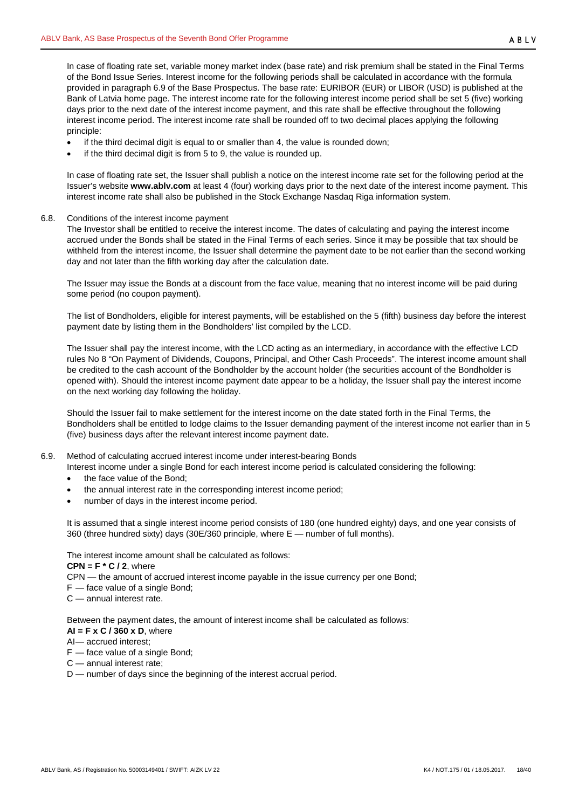In case of floating rate set, variable money market index (base rate) and risk premium shall be stated in the Final Terms of the Bond Issue Series. Interest income for the following periods shall be calculated in accordance with the formula provided in paragraph [6.9](#page-17-1) of the Base Prospectus. The base rate: EURIBOR (EUR) or LIBOR (USD) is published at the Bank of Latvia home page. The interest income rate for the following interest income period shall be set 5 (five) working days prior to the next date of the interest income payment, and this rate shall be effective throughout the following interest income period. The interest income rate shall be rounded off to two decimal places applying the following principle:

- if the third decimal digit is equal to or smaller than 4, the value is rounded down;
- if the third decimal digit is from 5 to 9, the value is rounded up.

In case of floating rate set, the Issuer shall publish a notice on the interest income rate set for the following period at the Issuer's website **www.ablv.com** at least 4 (four) working days prior to the next date of the interest income payment. This interest income rate shall also be published in the Stock Exchange Nasdaq Riga information system.

#### <span id="page-17-0"></span>6.8. Conditions of the interest income payment

The Investor shall be entitled to receive the interest income. The dates of calculating and paying the interest income accrued under the Bonds shall be stated in the Final Terms of each series. Since it may be possible that tax should be withheld from the interest income, the Issuer shall determine the payment date to be not earlier than the second working day and not later than the fifth working day after the calculation date.

The Issuer may issue the Bonds at a discount from the face value, meaning that no interest income will be paid during some period (no coupon payment).

The list of Bondholders, eligible for interest payments, will be established on the 5 (fifth) business day before the interest payment date by listing them in the Bondholders' list compiled by the LCD.

The Issuer shall pay the interest income, with the LCD acting as an intermediary, in accordance with the effective LCD rules No 8 "On Payment of Dividends, Coupons, Principal, and Other Cash Proceeds". The interest income amount shall be credited to the cash account of the Bondholder by the account holder (the securities account of the Bondholder is opened with). Should the interest income payment date appear to be a holiday, the Issuer shall pay the interest income on the next working day following the holiday.

Should the Issuer fail to make settlement for the interest income on the date stated forth in the Final Terms, the Bondholders shall be entitled to lodge claims to the Issuer demanding payment of the interest income not earlier than in 5 (five) business days after the relevant interest income payment date.

- <span id="page-17-1"></span>6.9. Method of calculating accrued interest income under interest-bearing Bonds
	- Interest income under a single Bond for each interest income period is calculated considering the following:
	- the face value of the Bond:
	- the annual interest rate in the corresponding interest income period;
	- number of days in the interest income period.

It is assumed that a single interest income period consists of 180 (one hundred eighty) days, and one year consists of 360 (three hundred sixty) days (30E/360 principle, where E — number of full months).

The interest income amount shall be calculated as follows:

 $CPN = F * C / 2$ , where

CPN — the amount of accrued interest income payable in the issue currency per one Bond;

- F face value of a single Bond;
- C annual interest rate.

Between the payment dates, the amount of interest income shall be calculated as follows:

- **AI = F x C / 360 x D**, where
- AI— accrued interest;
- F face value of a single Bond;
- C annual interest rate;
- D number of days since the beginning of the interest accrual period.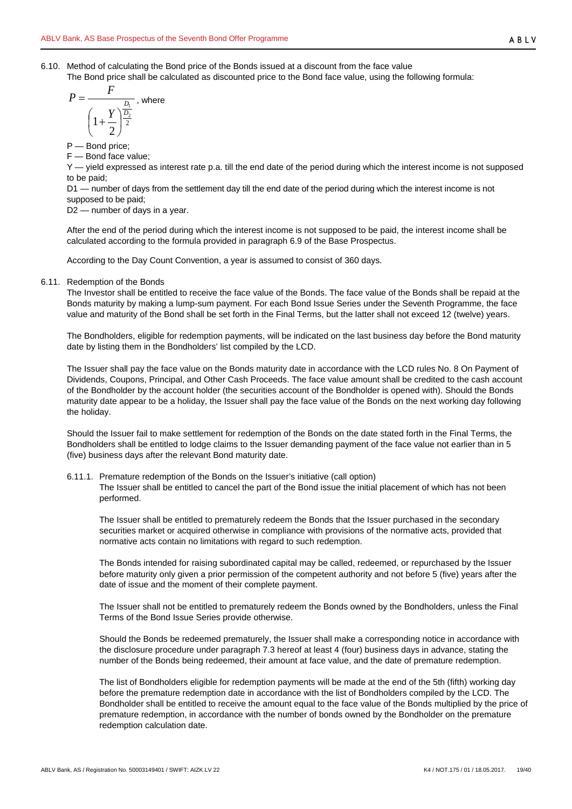<span id="page-18-0"></span>6.10. Method of calculating the Bond price of the Bonds issued at a discount from the face value

The Bond price shall be calculated as discounted price to the Bond face value, using the following formula:

$$
P = \frac{F}{\left(1 + \frac{Y}{2}\right)^{\frac{D_1}{2}}}, \text{ where}
$$

P — Bond price;

F — Bond face value;

Y — yield expressed as interest rate p.a. till the end date of the period during which the interest income is not supposed to be paid;

D1 — number of days from the settlement day till the end date of the period during which the interest income is not supposed to be paid;

D2 — number of days in a year.

After the end of the period during which the interest income is not supposed to be paid, the interest income shall be calculated according to the formula provided in paragraph [6.9](#page-17-1) of the Base Prospectus.

According to the Day Count Convention, a year is assumed to consist of 360 days.

<span id="page-18-1"></span>6.11. Redemption of the Bonds

The Investor shall be entitled to receive the face value of the Bonds. The face value of the Bonds shall be repaid at the Bonds maturity by making a lump-sum payment. For each Bond Issue Series under the Seventh Programme, the face value and maturity of the Bond shall be set forth in the Final Terms, but the latter shall not exceed 12 (twelve) years.

The Bondholders, eligible for redemption payments, will be indicated on the last business day before the Bond maturity date by listing them in the Bondholders' list compiled by the LCD.

The Issuer shall pay the face value on the Bonds maturity date in accordance with the LCD rules No. 8 On Payment of Dividends, Coupons, Principal, and Other Cash Proceeds. The face value amount shall be credited to the cash account of the Bondholder by the account holder (the securities account of the Bondholder is opened with). Should the Bonds maturity date appear to be a holiday, the Issuer shall pay the face value of the Bonds on the next working day following the holiday.

Should the Issuer fail to make settlement for redemption of the Bonds on the date stated forth in the Final Terms, the Bondholders shall be entitled to lodge claims to the Issuer demanding payment of the face value not earlier than in 5 (five) business days after the relevant Bond maturity date.

<span id="page-18-2"></span>6.11.1. Premature redemption of the Bonds on the Issuer's initiative (call option) The Issuer shall be entitled to cancel the part of the Bond issue the initial placement of which has not been performed.

The Issuer shall be entitled to prematurely redeem the Bonds that the Issuer purchased in the secondary securities market or acquired otherwise in compliance with provisions of the normative acts, provided that normative acts contain no limitations with regard to such redemption.

The Bonds intended for raising subordinated capital may be called, redeemed, or repurchased by the Issuer before maturity only given a prior permission of the competent authority and not before 5 (five) years after the date of issue and the moment of their complete payment.

The Issuer shall not be entitled to prematurely redeem the Bonds owned by the Bondholders, unless the Final Terms of the Bond Issue Series provide otherwise.

Should the Bonds be redeemed prematurely, the Issuer shall make a corresponding notice in accordance with the disclosure procedure under paragraph 7.3 hereof at least 4 (four) business days in advance, stating the number of the Bonds being redeemed, their amount at face value, and the date of premature redemption.

The list of Bondholders eligible for redemption payments will be made at the end of the 5th (fifth) working day before the premature redemption date in accordance with the list of Bondholders compiled by the LCD. The Bondholder shall be entitled to receive the amount equal to the face value of the Bonds multiplied by the price of premature redemption, in accordance with the number of bonds owned by the Bondholder on the premature redemption calculation date.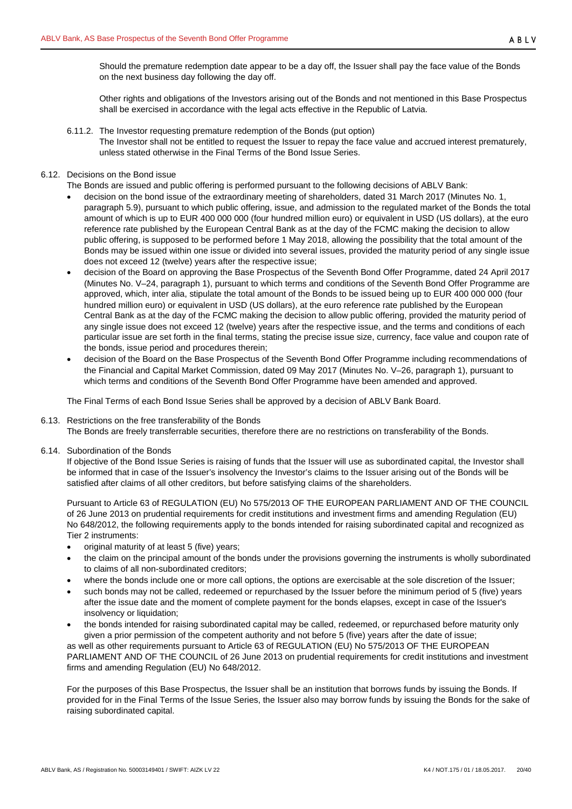Should the premature redemption date appear to be a day off, the Issuer shall pay the face value of the Bonds on the next business day following the day off.

Other rights and obligations of the Investors arising out of the Bonds and not mentioned in this Base Prospectus shall be exercised in accordance with the legal acts effective in the Republic of Latvia.

<span id="page-19-0"></span>6.11.2. The Investor requesting premature redemption of the Bonds (put option) The Investor shall not be entitled to request the Issuer to repay the face value and accrued interest prematurely, unless stated otherwise in the Final Terms of the Bond Issue Series.

# <span id="page-19-1"></span>6.12. Decisions on the Bond issue

The Bonds are issued and public offering is performed pursuant to the following decisions of ABLV Bank:

- decision on the bond issue of the extraordinary meeting of shareholders, dated 31 March 2017 (Minutes No. 1, paragraph 5.9), pursuant to which public offering, issue, and admission to the regulated market of the Bonds the total amount of which is up to EUR 400 000 000 (four hundred million euro) or equivalent in USD (US dollars), at the euro reference rate published by the European Central Bank as at the day of the FCMC making the decision to allow public offering, is supposed to be performed before 1 May 2018, allowing the possibility that the total amount of the Bonds may be issued within one issue or divided into several issues, provided the maturity period of any single issue does not exceed 12 (twelve) years after the respective issue;
- decision of the Board on approving the Base Prospectus of the Seventh Bond Offer Programme, dated 24 April 2017 (Minutes No. V–24, paragraph 1), pursuant to which terms and conditions of the Seventh Bond Offer Programme are approved, which, inter alia, stipulate the total amount of the Bonds to be issued being up to EUR 400 000 000 (four hundred million euro) or equivalent in USD (US dollars), at the euro reference rate published by the European Central Bank as at the day of the FCMC making the decision to allow public offering, provided the maturity period of any single issue does not exceed 12 (twelve) years after the respective issue, and the terms and conditions of each particular issue are set forth in the final terms, stating the precise issue size, currency, face value and coupon rate of the bonds, issue period and procedures therein;
- decision of the Board on the Base Prospectus of the Seventh Bond Offer Programme including recommendations of the Financial and Capital Market Commission, dated 09 May 2017 (Minutes No. V–26, paragraph 1), pursuant to which terms and conditions of the Seventh Bond Offer Programme have been amended and approved.

The Final Terms of each Bond Issue Series shall be approved by a decision of ABLV Bank Board.

## <span id="page-19-2"></span>6.13. Restrictions on the free transferability of the Bonds

The Bonds are freely transferrable securities, therefore there are no restrictions on transferability of the Bonds.

<span id="page-19-3"></span>6.14. Subordination of the Bonds

If objective of the Bond Issue Series is raising of funds that the Issuer will use as subordinated capital, the Investor shall be informed that in case of the Issuer's insolvency the Investor's claims to the Issuer arising out of the Bonds will be satisfied after claims of all other creditors, but before satisfying claims of the shareholders.

Pursuant to Article 63 of REGULATION (EU) No 575/2013 OF THE EUROPEAN PARLIAMENT AND OF THE COUNCIL of 26 June 2013 on prudential requirements for credit institutions and investment firms and amending Regulation (EU) No 648/2012, the following requirements apply to the bonds intended for raising subordinated capital and recognized as Tier 2 instruments:

- original maturity of at least 5 (five) years;
- the claim on the principal amount of the bonds under the provisions governing the instruments is wholly subordinated to claims of all non-subordinated creditors;
- where the bonds include one or more call options, the options are exercisable at the sole discretion of the Issuer;
- such bonds may not be called, redeemed or repurchased by the Issuer before the minimum period of 5 (five) years after the issue date and the moment of complete payment for the bonds elapses, except in case of the Issuer's insolvency or liquidation;
- the bonds intended for raising subordinated capital may be called, redeemed, or repurchased before maturity only given a prior permission of the competent authority and not before 5 (five) years after the date of issue; as well as other requirements pursuant to Article 63 of REGULATION (EU) No 575/2013 OF THE EUROPEAN PARLIAMENT AND OF THE COUNCIL of 26 June 2013 on prudential requirements for credit institutions and investment firms and amending Regulation (EU) No 648/2012.

For the purposes of this Base Prospectus, the Issuer shall be an institution that borrows funds by issuing the Bonds. If provided for in the Final Terms of the Issue Series, the Issuer also may borrow funds by issuing the Bonds for the sake of raising subordinated capital.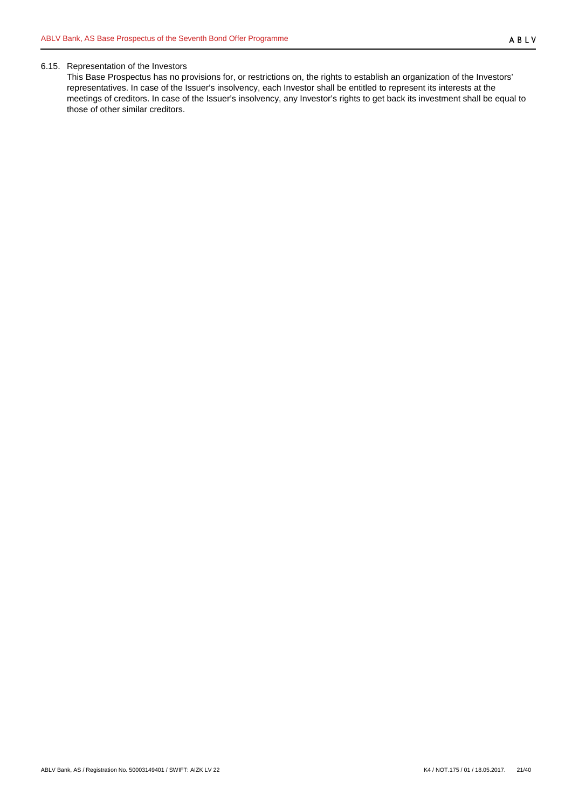#### <span id="page-20-0"></span>6.15. Representation of the Investors

This Base Prospectus has no provisions for, or restrictions on, the rights to establish an organization of the Investors' representatives. In case of the Issuer's insolvency, each Investor shall be entitled to represent its interests at the meetings of creditors. In case of the Issuer's insolvency, any Investor's rights to get back its investment shall be equal to those of other similar creditors.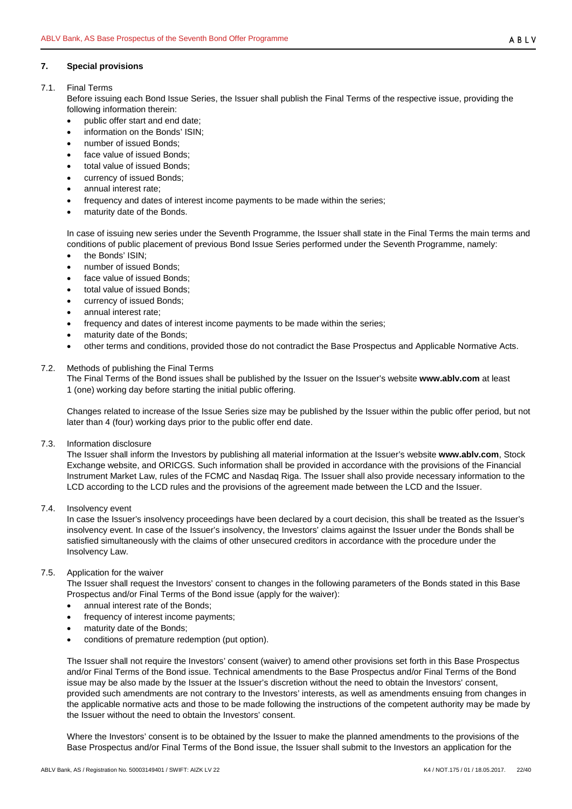## <span id="page-21-0"></span>**7. Special provisions**

## <span id="page-21-1"></span>7.1. Final Terms

Before issuing each Bond Issue Series, the Issuer shall publish the Final Terms of the respective issue, providing the following information therein:

- public offer start and end date;
- information on the Bonds' ISIN;
- number of issued Bonds;
- face value of issued Bonds;
- total value of issued Bonds;
- currency of issued Bonds;
- annual interest rate;
- frequency and dates of interest income payments to be made within the series;
- maturity date of the Bonds.

In case of issuing new series under the Seventh Programme, the Issuer shall state in the Final Terms the main terms and conditions of public placement of previous Bond Issue Series performed under the Seventh Programme, namely:

- the Bonds' ISIN;
- number of issued Bonds;
- face value of issued Bonds:
- total value of issued Bonds;
- currency of issued Bonds;
- annual interest rate;
- frequency and dates of interest income payments to be made within the series;
- maturity date of the Bonds:
- other terms and conditions, provided those do not contradict the Base Prospectus and Applicable Normative Acts.

## <span id="page-21-2"></span>7.2. Methods of publishing the Final Terms

The Final Terms of the Bond issues shall be published by the Issuer on the Issuer's website **www.ablv.com** at least 1 (one) working day before starting the initial public offering.

Changes related to increase of the Issue Series size may be published by the Issuer within the public offer period, but not later than 4 (four) working days prior to the public offer end date.

<span id="page-21-3"></span>7.3. Information disclosure

The Issuer shall inform the Investors by publishing all material information at the Issuer's website **www.ablv.com**, Stock Exchange website, and ORICGS. Such information shall be provided in accordance with the provisions of the Financial Instrument Market Law, rules of the FCMC and Nasdaq Riga. The Issuer shall also provide necessary information to the LCD according to the LCD rules and the provisions of the agreement made between the LCD and the Issuer.

<span id="page-21-4"></span>7.4. Insolvency event

In case the Issuer's insolvency proceedings have been declared by a court decision, this shall be treated as the Issuer's insolvency event. In case of the Issuer's insolvency, the Investors' claims against the Issuer under the Bonds shall be satisfied simultaneously with the claims of other unsecured creditors in accordance with the procedure under the Insolvency Law.

# <span id="page-21-5"></span>7.5. Application for the waiver

The Issuer shall request the Investors' consent to changes in the following parameters of the Bonds stated in this Base Prospectus and/or Final Terms of the Bond issue (apply for the waiver):

- annual interest rate of the Bonds;
- frequency of interest income payments:
- maturity date of the Bonds;
- conditions of premature redemption (put option).

The Issuer shall not require the Investors' consent (waiver) to amend other provisions set forth in this Base Prospectus and/or Final Terms of the Bond issue. Technical amendments to the Base Prospectus and/or Final Terms of the Bond issue may be also made by the Issuer at the Issuer's discretion without the need to obtain the Investors' consent, provided such amendments are not contrary to the Investors' interests, as well as amendments ensuing from changes in the applicable normative acts and those to be made following the instructions of the competent authority may be made by the Issuer without the need to obtain the Investors' consent.

Where the Investors' consent is to be obtained by the Issuer to make the planned amendments to the provisions of the Base Prospectus and/or Final Terms of the Bond issue, the Issuer shall submit to the Investors an application for the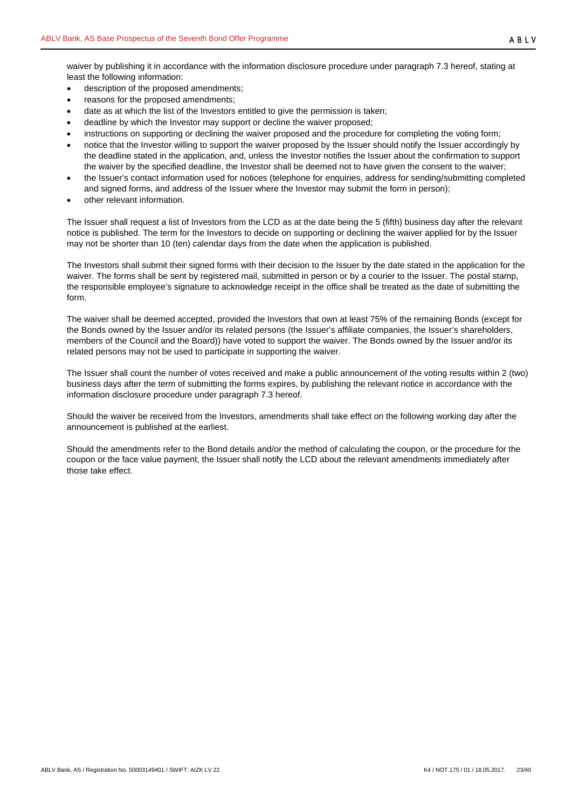- description of the proposed amendments;
- reasons for the proposed amendments;
- date as at which the list of the Investors entitled to give the permission is taken;
- deadline by which the Investor may support or decline the waiver proposed;
- instructions on supporting or declining the waiver proposed and the procedure for completing the voting form;
- notice that the Investor willing to support the waiver proposed by the Issuer should notify the Issuer accordingly by the deadline stated in the application, and, unless the Investor notifies the Issuer about the confirmation to support the waiver by the specified deadline, the Investor shall be deemed not to have given the consent to the waiver;
- the Issuer's contact information used for notices (telephone for enquiries, address for sending/submitting completed and signed forms, and address of the Issuer where the Investor may submit the form in person);
- other relevant information.

The Issuer shall request a list of Investors from the LCD as at the date being the 5 (fifth) business day after the relevant notice is published. The term for the Investors to decide on supporting or declining the waiver applied for by the Issuer may not be shorter than 10 (ten) calendar days from the date when the application is published.

The Investors shall submit their signed forms with their decision to the Issuer by the date stated in the application for the waiver. The forms shall be sent by registered mail, submitted in person or by a courier to the Issuer. The postal stamp, the responsible employee's signature to acknowledge receipt in the office shall be treated as the date of submitting the form.

The waiver shall be deemed accepted, provided the Investors that own at least 75% of the remaining Bonds (except for the Bonds owned by the Issuer and/or its related persons (the Issuer's affiliate companies, the Issuer's shareholders, members of the Council and the Board)) have voted to support the waiver. The Bonds owned by the Issuer and/or its related persons may not be used to participate in supporting the waiver.

The Issuer shall count the number of votes received and make a public announcement of the voting results within 2 (two) business days after the term of submitting the forms expires, by publishing the relevant notice in accordance with the information disclosure procedure under paragraph 7.3 hereof.

Should the waiver be received from the Investors, amendments shall take effect on the following working day after the announcement is published at the earliest.

Should the amendments refer to the Bond details and/or the method of calculating the coupon, or the procedure for the coupon or the face value payment, the Issuer shall notify the LCD about the relevant amendments immediately after those take effect.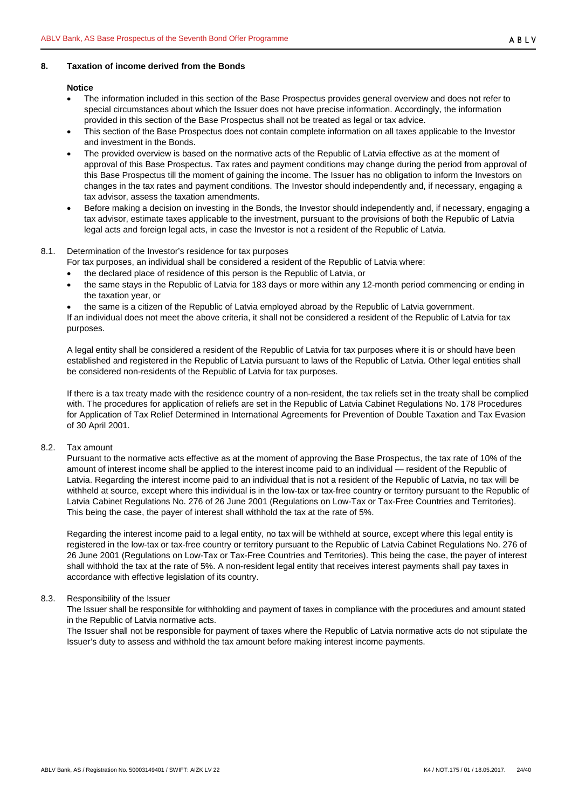## <span id="page-23-0"></span>**8. Taxation of income derived from the Bonds**

#### **Notice**

- The information included in this section of the Base Prospectus provides general overview and does not refer to special circumstances about which the Issuer does not have precise information. Accordingly, the information provided in this section of the Base Prospectus shall not be treated as legal or tax advice.
- This section of the Base Prospectus does not contain complete information on all taxes applicable to the Investor and investment in the Bonds.
- The provided overview is based on the normative acts of the Republic of Latvia effective as at the moment of approval of this Base Prospectus. Tax rates and payment conditions may change during the period from approval of this Base Prospectus till the moment of gaining the income. The Issuer has no obligation to inform the Investors on changes in the tax rates and payment conditions. The Investor should independently and, if necessary, engaging a tax advisor, assess the taxation amendments.
- Before making a decision on investing in the Bonds, the Investor should independently and, if necessary, engaging a tax advisor, estimate taxes applicable to the investment, pursuant to the provisions of both the Republic of Latvia legal acts and foreign legal acts, in case the Investor is not a resident of the Republic of Latvia.

## <span id="page-23-1"></span>8.1. Determination of the Investor's residence for tax purposes

- For tax purposes, an individual shall be considered a resident of the Republic of Latvia where:
	- the declared place of residence of this person is the Republic of Latvia, or
	- the same stays in the Republic of Latvia for 183 days or more within any 12-month period commencing or ending in the taxation year, or
	- the same is a citizen of the Republic of Latvia employed abroad by the Republic of Latvia government.

If an individual does not meet the above criteria, it shall not be considered a resident of the Republic of Latvia for tax purposes.

A legal entity shall be considered a resident of the Republic of Latvia for tax purposes where it is or should have been established and registered in the Republic of Latvia pursuant to laws of the Republic of Latvia. Other legal entities shall be considered non-residents of the Republic of Latvia for tax purposes.

If there is a tax treaty made with the residence country of a non-resident, the tax reliefs set in the treaty shall be complied with. The procedures for application of reliefs are set in the Republic of Latvia Cabinet Regulations No. 178 Procedures for Application of Tax Relief Determined in International Agreements for Prevention of Double Taxation and Tax Evasion of 30 April 2001.

## <span id="page-23-2"></span>8.2. Tax amount

Pursuant to the normative acts effective as at the moment of approving the Base Prospectus, the tax rate of 10% of the amount of interest income shall be applied to the interest income paid to an individual — resident of the Republic of Latvia. Regarding the interest income paid to an individual that is not a resident of the Republic of Latvia, no tax will be withheld at source, except where this individual is in the low-tax or tax-free country or territory pursuant to the Republic of Latvia Cabinet Regulations No. 276 of 26 June 2001 (Regulations on Low-Tax or Tax-Free Countries and Territories). This being the case, the payer of interest shall withhold the tax at the rate of 5%.

Regarding the interest income paid to a legal entity, no tax will be withheld at source, except where this legal entity is registered in the low-tax or tax-free country or territory pursuant to the Republic of Latvia Cabinet Regulations No. 276 of 26 June 2001 (Regulations on Low-Tax or Tax-Free Countries and Territories). This being the case, the payer of interest shall withhold the tax at the rate of 5%. A non-resident legal entity that receives interest payments shall pay taxes in accordance with effective legislation of its country.

## <span id="page-23-3"></span>8.3. Responsibility of the Issuer

The Issuer shall be responsible for withholding and payment of taxes in compliance with the procedures and amount stated in the Republic of Latvia normative acts.

The Issuer shall not be responsible for payment of taxes where the Republic of Latvia normative acts do not stipulate the Issuer's duty to assess and withhold the tax amount before making interest income payments.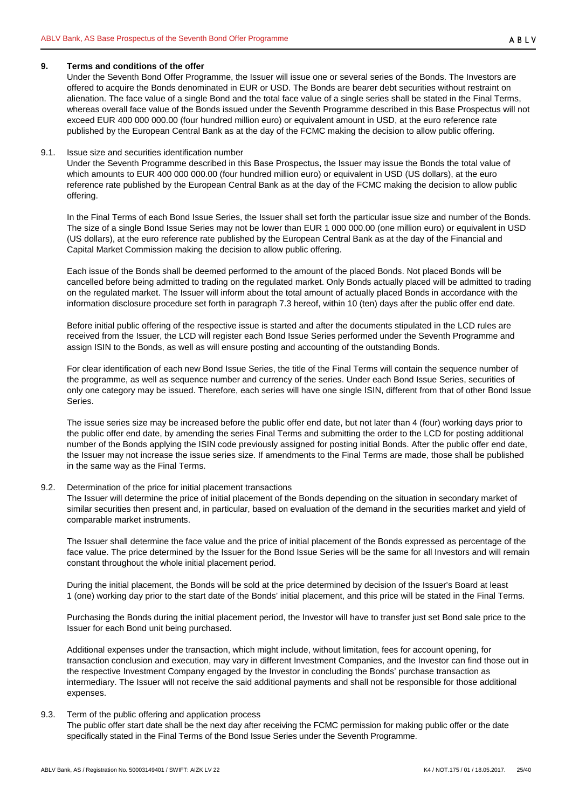## <span id="page-24-0"></span>**9. Terms and conditions of the offer**

Under the Seventh Bond Offer Programme, the Issuer will issue one or several series of the Bonds. The Investors are offered to acquire the Bonds denominated in EUR or USD. The Bonds are bearer debt securities without restraint on alienation. The face value of a single Bond and the total face value of a single series shall be stated in the Final Terms, whereas overall face value of the Bonds issued under the Seventh Programme described in this Base Prospectus will not exceed EUR 400 000 000.00 (four hundred million euro) or equivalent amount in USD, at the euro reference rate published by the European Central Bank as at the day of the FCMC making the decision to allow public offering.

#### <span id="page-24-1"></span>9.1. Issue size and securities identification number

Under the Seventh Programme described in this Base Prospectus, the Issuer may issue the Bonds the total value of which amounts to EUR 400 000 000.00 (four hundred million euro) or equivalent in USD (US dollars), at the euro reference rate published by the European Central Bank as at the day of the FCMC making the decision to allow public offering.

In the Final Terms of each Bond Issue Series, the Issuer shall set forth the particular issue size and number of the Bonds. The size of a single Bond Issue Series may not be lower than EUR 1 000 000.00 (one million euro) or equivalent in USD (US dollars), at the euro reference rate published by the European Central Bank as at the day of the Financial and Capital Market Commission making the decision to allow public offering.

Each issue of the Bonds shall be deemed performed to the amount of the placed Bonds. Not placed Bonds will be cancelled before being admitted to trading on the regulated market. Only Bonds actually placed will be admitted to trading on the regulated market. The Issuer will inform about the total amount of actually placed Bonds in accordance with the information disclosure procedure set forth in paragraph 7.3 hereof, within 10 (ten) days after the public offer end date.

Before initial public offering of the respective issue is started and after the documents stipulated in the LCD rules are received from the Issuer, the LCD will register each Bond Issue Series performed under the Seventh Programme and assign ISIN to the Bonds, as well as will ensure posting and accounting of the outstanding Bonds.

For clear identification of each new Bond Issue Series, the title of the Final Terms will contain the sequence number of the programme, as well as sequence number and currency of the series. Under each Bond Issue Series, securities of only one category may be issued. Therefore, each series will have one single ISIN, different from that of other Bond Issue Series.

The issue series size may be increased before the public offer end date, but not later than 4 (four) working days prior to the public offer end date, by amending the series Final Terms and submitting the order to the LCD for posting additional number of the Bonds applying the ISIN code previously assigned for posting initial Bonds. After the public offer end date, the Issuer may not increase the issue series size. If amendments to the Final Terms are made, those shall be published in the same way as the Final Terms.

## <span id="page-24-2"></span>9.2. Determination of the price for initial placement transactions

The Issuer will determine the price of initial placement of the Bonds depending on the situation in secondary market of similar securities then present and, in particular, based on evaluation of the demand in the securities market and yield of comparable market instruments.

The Issuer shall determine the face value and the price of initial placement of the Bonds expressed as percentage of the face value. The price determined by the Issuer for the Bond Issue Series will be the same for all Investors and will remain constant throughout the whole initial placement period.

During the initial placement, the Bonds will be sold at the price determined by decision of the Issuer's Board at least 1 (one) working day prior to the start date of the Bonds' initial placement, and this price will be stated in the Final Terms.

Purchasing the Bonds during the initial placement period, the Investor will have to transfer just set Bond sale price to the Issuer for each Bond unit being purchased.

Additional expenses under the transaction, which might include, without limitation, fees for account opening, for transaction conclusion and execution, may vary in different Investment Companies, and the Investor can find those out in the respective Investment Company engaged by the Investor in concluding the Bonds' purchase transaction as intermediary. The Issuer will not receive the said additional payments and shall not be responsible for those additional expenses.

## <span id="page-24-3"></span>9.3. Term of the public offering and application process

The public offer start date shall be the next day after receiving the FCMC permission for making public offer or the date specifically stated in the Final Terms of the Bond Issue Series under the Seventh Programme.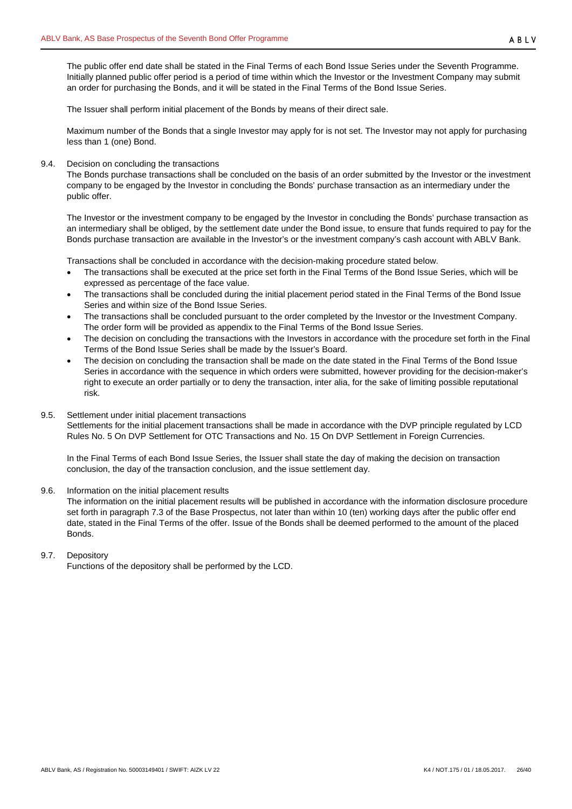The public offer end date shall be stated in the Final Terms of each Bond Issue Series under the Seventh Programme. Initially planned public offer period is a period of time within which the Investor or the Investment Company may submit an order for purchasing the Bonds, and it will be stated in the Final Terms of the Bond Issue Series.

The Issuer shall perform initial placement of the Bonds by means of their direct sale.

Maximum number of the Bonds that a single Investor may apply for is not set. The Investor may not apply for purchasing less than 1 (one) Bond.

<span id="page-25-0"></span>9.4. Decision on concluding the transactions

The Bonds purchase transactions shall be concluded on the basis of an order submitted by the Investor or the investment company to be engaged by the Investor in concluding the Bonds' purchase transaction as an intermediary under the public offer.

The Investor or the investment company to be engaged by the Investor in concluding the Bonds' purchase transaction as an intermediary shall be obliged, by the settlement date under the Bond issue, to ensure that funds required to pay for the Bonds purchase transaction are available in the Investor's or the investment company's cash account with ABLV Bank.

Transactions shall be concluded in accordance with the decision-making procedure stated below.

- The transactions shall be executed at the price set forth in the Final Terms of the Bond Issue Series, which will be expressed as percentage of the face value.
- The transactions shall be concluded during the initial placement period stated in the Final Terms of the Bond Issue Series and within size of the Bond Issue Series.
- The transactions shall be concluded pursuant to the order completed by the Investor or the Investment Company. The order form will be provided as appendix to the Final Terms of the Bond Issue Series.
- The decision on concluding the transactions with the Investors in accordance with the procedure set forth in the Final Terms of the Bond Issue Series shall be made by the Issuer's Board.
- The decision on concluding the transaction shall be made on the date stated in the Final Terms of the Bond Issue Series in accordance with the sequence in which orders were submitted, however providing for the decision-maker's right to execute an order partially or to deny the transaction, inter alia, for the sake of limiting possible reputational risk.
- <span id="page-25-1"></span>9.5. Settlement under initial placement transactions

Settlements for the initial placement transactions shall be made in accordance with the DVP principle regulated by LCD Rules No. 5 On DVP Settlement for OTC Transactions and No. 15 On DVP Settlement in Foreign Currencies.

In the Final Terms of each Bond Issue Series, the Issuer shall state the day of making the decision on transaction conclusion, the day of the transaction conclusion, and the issue settlement day.

<span id="page-25-2"></span>9.6. Information on the initial placement results

The information on the initial placement results will be published in accordance with the information disclosure procedure set forth in paragraph 7.3 of the Base Prospectus, not later than within 10 (ten) working days after the public offer end date, stated in the Final Terms of the offer. Issue of the Bonds shall be deemed performed to the amount of the placed Bonds.

## <span id="page-25-3"></span>9.7. Depository

Functions of the depository shall be performed by the LCD.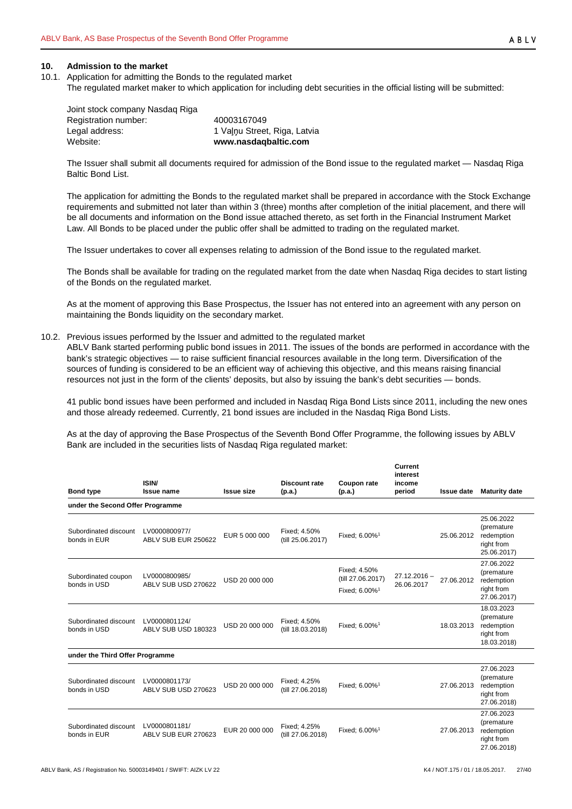#### <span id="page-26-0"></span>**10. Admission to the market**

- <span id="page-26-1"></span>10.1. Application for admitting the Bonds to the regulated market
	- The regulated market maker to which application for including debt securities in the official listing will be submitted:

Joint stock company Nasdaq Riga Registration number: 40003167049<br>Legal address: 1 Valnu Stree Legal address: 1 Vaļņu Street, Riga, Latvia<br>
Website: 1 Website: 1 Website: 0 Website: 0 Website: 0 Website: 0 Website: 0 Website: 0 Website: 0 Website: 0

Website: **[www.nasdaqbaltic.com](http://www.nasdaqbaltic.com/)**

The Issuer shall submit all documents required for admission of the Bond issue to the regulated market — Nasdaq Riga Baltic Bond List.

The application for admitting the Bonds to the regulated market shall be prepared in accordance with the Stock Exchange requirements and submitted not later than within 3 (three) months after completion of the initial placement, and there will be all documents and information on the Bond issue attached thereto, as set forth in the Financial Instrument Market Law. All Bonds to be placed under the public offer shall be admitted to trading on the regulated market.

The Issuer undertakes to cover all expenses relating to admission of the Bond issue to the regulated market.

The Bonds shall be available for trading on the regulated market from the date when Nasdaq Riga decides to start listing of the Bonds on the regulated market.

As at the moment of approving this Base Prospectus, the Issuer has not entered into an agreement with any person on maintaining the Bonds liquidity on the secondary market.

<span id="page-26-2"></span>10.2. Previous issues performed by the Issuer and admitted to the regulated market

ABLV Bank started performing public bond issues in 2011. The issues of the bonds are performed in accordance with the bank's strategic objectives — to raise sufficient financial resources available in the long term. Diversification of the sources of funding is considered to be an efficient way of achieving this objective, and this means raising financial resources not just in the form of the clients' deposits, but also by issuing the bank's debt securities — bonds.

41 public bond issues have been performed and included in Nasdaq Riga Bond Lists since 2011, including the new ones and those already redeemed. Currently, 21 bond issues are included in the Nasdaq Riga Bond Lists.

As at the day of approving the Base Prospectus of the Seventh Bond Offer Programme, the following issues by ABLV Bank are included in the securities lists of Nasdaq Riga regulated market:

| <b>Bond type</b>                      | ISIN/<br><b>Issue name</b>           | <b>Issue size</b> | Discount rate<br>(p.a.)           | Coupon rate<br>(p.a.)                                          | Current<br>interest<br>income<br>period | <b>Issue date</b> | <b>Maturity date</b>                                                |
|---------------------------------------|--------------------------------------|-------------------|-----------------------------------|----------------------------------------------------------------|-----------------------------------------|-------------------|---------------------------------------------------------------------|
| under the Second Offer Programme      |                                      |                   |                                   |                                                                |                                         |                   |                                                                     |
| Subordinated discount<br>bonds in EUR | LV0000800977/<br>ABLV SUB EUR 250622 | EUR 5 000 000     | Fixed: 4.50%<br>(till 25.06.2017) | Fixed: 6.00% <sup>1</sup>                                      |                                         | 25.06.2012        | 25.06.2022<br>(premature<br>redemption<br>right from<br>25.06.2017) |
| Subordinated coupon<br>bonds in USD   | LV0000800985/<br>ABLV SUB USD 270622 | USD 20 000 000    |                                   | Fixed: 4.50%<br>(till 27.06.2017)<br>Fixed; 6.00% <sup>1</sup> | $27.12.2016 -$<br>26.06.2017            | 27.06.2012        | 27.06.2022<br>(premature<br>redemption<br>right from<br>27.06.2017) |
| Subordinated discount<br>bonds in USD | LV0000801124/<br>ABLV SUB USD 180323 | USD 20 000 000    | Fixed: 4.50%<br>(till 18.03.2018) | Fixed: 6.00% <sup>1</sup>                                      |                                         | 18.03.2013        | 18.03.2023<br>(premature<br>redemption<br>right from<br>18.03.2018) |
| under the Third Offer Programme       |                                      |                   |                                   |                                                                |                                         |                   |                                                                     |
| Subordinated discount<br>bonds in USD | LV0000801173/<br>ABLV SUB USD 270623 | USD 20 000 000    | Fixed; 4.25%<br>(till 27.06.2018) | Fixed: 6.00% <sup>1</sup>                                      |                                         | 27.06.2013        | 27.06.2023<br>(premature<br>redemption<br>right from<br>27.06.2018) |
| Subordinated discount<br>bonds in EUR | LV0000801181/<br>ABLV SUB EUR 270623 | EUR 20 000 000    | Fixed: 4.25%<br>(till 27.06.2018) | Fixed; 6.00% <sup>1</sup>                                      |                                         | 27.06.2013        | 27.06.2023<br>(premature<br>redemption<br>right from                |

27.06.2018)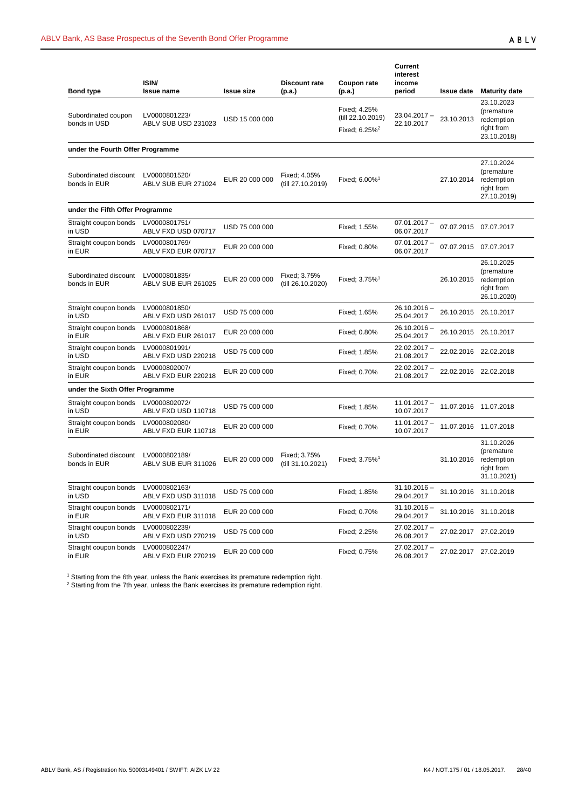| <b>Bond type</b>                      | ISIN/<br><b>Issue name</b>           | <b>Issue size</b> | <b>Discount rate</b><br>(p.a.)    | Coupon rate<br>(p.a.)                                          | <b>Current</b><br>interest<br>income<br>period | <b>Issue date</b> | <b>Maturity date</b>                                                |
|---------------------------------------|--------------------------------------|-------------------|-----------------------------------|----------------------------------------------------------------|------------------------------------------------|-------------------|---------------------------------------------------------------------|
| Subordinated coupon<br>bonds in USD   | LV0000801223/<br>ABLV SUB USD 231023 | USD 15 000 000    |                                   | Fixed; 4.25%<br>(till 22.10.2019)<br>Fixed; 6.25% <sup>2</sup> | $23.04.2017 -$<br>22.10.2017                   | 23.10.2013        | 23.10.2023<br>(premature<br>redemption<br>right from<br>23.10.2018) |
| under the Fourth Offer Programme      |                                      |                   |                                   |                                                                |                                                |                   |                                                                     |
| Subordinated discount<br>bonds in EUR | LV0000801520/<br>ABLV SUB EUR 271024 | EUR 20 000 000    | Fixed; 4.05%<br>(till 27.10.2019) | Fixed; 6.00% <sup>1</sup>                                      |                                                | 27.10.2014        | 27.10.2024<br>(premature<br>redemption<br>right from<br>27.10.2019) |
| under the Fifth Offer Programme       |                                      |                   |                                   |                                                                |                                                |                   |                                                                     |
| Straight coupon bonds<br>in USD       | LV0000801751/<br>ABLV FXD USD 070717 | USD 75 000 000    |                                   | Fixed: 1.55%                                                   | $07.01.2017 -$<br>06.07.2017                   |                   | 07.07.2015 07.07.2017                                               |
| Straight coupon bonds<br>in EUR       | LV0000801769/<br>ABLV FXD EUR 070717 | EUR 20 000 000    |                                   | Fixed; 0.80%                                                   | $07.01.2017 -$<br>06.07.2017                   |                   | 07.07.2015 07.07.2017                                               |
| Subordinated discount<br>bonds in EUR | LV0000801835/<br>ABLV SUB EUR 261025 | EUR 20 000 000    | Fixed; 3.75%<br>(till 26.10.2020) | Fixed; $3.75\%$ <sup>1</sup>                                   |                                                | 26.10.2015        | 26.10.2025<br>(premature<br>redemption<br>right from<br>26.10.2020) |
| Straight coupon bonds<br>in USD       | LV0000801850/<br>ABLV FXD USD 261017 | USD 75 000 000    |                                   | Fixed; 1.65%                                                   | $26.10.2016 -$<br>25.04.2017                   |                   | 26.10.2015 26.10.2017                                               |
| Straight coupon bonds<br>in EUR       | LV0000801868/<br>ABLV FXD EUR 261017 | EUR 20 000 000    |                                   | Fixed; 0.80%                                                   | $26.10.2016 -$<br>25.04.2017                   |                   | 26.10.2015 26.10.2017                                               |
| Straight coupon bonds<br>in USD       | LV0000801991/<br>ABLV FXD USD 220218 | USD 75 000 000    |                                   | Fixed; 1.85%                                                   | 22.02.2017 -<br>21.08.2017                     |                   | 22.02.2016 22.02.2018                                               |
| Straight coupon bonds<br>in EUR       | LV0000802007/<br>ABLV FXD EUR 220218 | EUR 20 000 000    |                                   | Fixed: 0.70%                                                   | $22.02.2017 -$<br>21.08.2017                   |                   | 22.02.2016 22.02.2018                                               |
| under the Sixth Offer Programme       |                                      |                   |                                   |                                                                |                                                |                   |                                                                     |
| Straight coupon bonds<br>in USD       | LV0000802072/<br>ABLV FXD USD 110718 | USD 75 000 000    |                                   | Fixed: 1.85%                                                   | $11.01.2017 -$<br>10.07.2017                   |                   | 11.07.2016 11.07.2018                                               |
| Straight coupon bonds<br>in EUR       | LV0000802080/<br>ABLV FXD EUR 110718 | EUR 20 000 000    |                                   | Fixed; 0.70%                                                   | $11.01.2017 -$<br>10.07.2017                   |                   | 11.07.2016 11.07.2018                                               |
| Subordinated discount<br>bonds in EUR | LV0000802189/<br>ABLV SUB EUR 311026 | EUR 20 000 000    | Fixed; 3.75%<br>(till 31.10.2021) | Fixed; 3.75% <sup>1</sup>                                      |                                                | 31.10.2016        | 31.10.2026<br>(premature<br>redemption<br>right from<br>31.10.2021) |
| Straight coupon bonds<br>in USD       | LV0000802163/<br>ABLV FXD USD 311018 | USD 75 000 000    |                                   | Fixed; 1.85%                                                   | $31.10.2016 -$<br>29.04.2017                   |                   | 31.10.2016 31.10.2018                                               |
| Straight coupon bonds<br>in EUR       | LV0000802171/<br>ABLV FXD EUR 311018 | EUR 20 000 000    |                                   | Fixed; 0.70%                                                   | $31.10.2016 -$<br>29.04.2017                   |                   | 31.10.2016 31.10.2018                                               |
| Straight coupon bonds<br>in USD       | LV0000802239/<br>ABLV FXD USD 270219 | USD 75 000 000    |                                   | Fixed; 2.25%                                                   | $27.02.2017 -$<br>26.08.2017                   |                   | 27.02.2017 27.02.2019                                               |
| Straight coupon bonds<br>in EUR       | LV0000802247/<br>ABLV FXD EUR 270219 | EUR 20 000 000    |                                   | Fixed; 0.75%                                                   | 27.02.2017 -<br>26.08.2017                     |                   | 27.02.2017 27.02.2019                                               |

 $1$  Starting from the 6th year, unless the Bank exercises its premature redemption right.

 $2$  Starting from the 7th year, unless the Bank exercises its premature redemption right.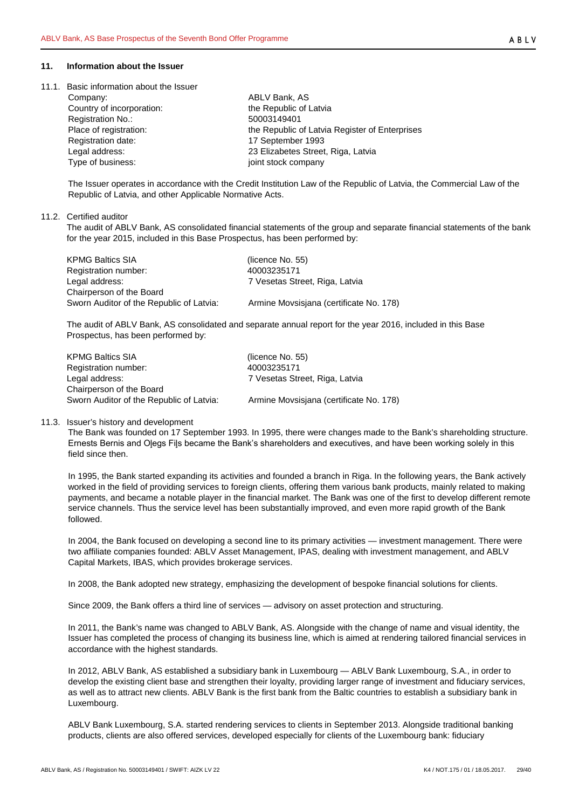#### <span id="page-28-0"></span>**11. Information about the Issuer**

<span id="page-28-1"></span>11.1. Basic information about the Issuer

| Company:                  | ABLV Bank, AS                                  |
|---------------------------|------------------------------------------------|
| Country of incorporation: | the Republic of Latvia                         |
| <b>Registration No.:</b>  | 50003149401                                    |
| Place of registration:    | the Republic of Latvia Register of Enterprises |
| Registration date:        | 17 September 1993                              |
| Legal address:            | 23 Elizabetes Street, Riga, Latvia             |
| Type of business:         | joint stock company                            |
|                           |                                                |

The Issuer operates in accordance with the Credit Institution Law of the Republic of Latvia, the Commercial Law of the Republic of Latvia, and other Applicable Normative Acts.

## <span id="page-28-2"></span>11.2. Certified auditor

The audit of ABLV Bank, AS consolidated financial statements of the group and separate financial statements of the bank for the year 2015, included in this Base Prospectus, has been performed by:

| KPMG Baltics SIA                         | (licence No. 55)                        |
|------------------------------------------|-----------------------------------------|
| Registration number:                     | 40003235171                             |
| Legal address:                           | 7 Vesetas Street, Riga, Latvia          |
| Chairperson of the Board                 |                                         |
| Sworn Auditor of the Republic of Latvia: | Armine Movsisjana (certificate No. 178) |

The audit of ABLV Bank, AS consolidated and separate annual report for the year 2016, included in this Base Prospectus, has been performed by:

| <b>KPMG Baltics SIA</b>                  | (licence No. 55)                        |
|------------------------------------------|-----------------------------------------|
| Registration number:                     | 40003235171                             |
| Legal address:                           | 7 Vesetas Street, Riga, Latvia          |
| Chairperson of the Board                 |                                         |
| Sworn Auditor of the Republic of Latvia: | Armine Movsisiana (certificate No. 178) |
|                                          |                                         |

## <span id="page-28-3"></span>11.3. Issuer's history and development

The Bank was founded on 17 September 1993. In 1995, there were changes made to the Bank's shareholding structure. Ernests Bernis and Oļegs Fiļs became the Bank's shareholders and executives, and have been working solely in this field since then.

In 1995, the Bank started expanding its activities and founded a branch in Riga. In the following years, the Bank actively worked in the field of providing services to foreign clients, offering them various bank products, mainly related to making payments, and became a notable player in the financial market. The Bank was one of the first to develop different remote service channels. Thus the service level has been substantially improved, and even more rapid growth of the Bank followed.

In 2004, the Bank focused on developing a second line to its primary activities — investment management. There were two affiliate companies founded: ABLV Asset Management, IPAS, dealing with investment management, and ABLV Capital Markets, IBAS, which provides brokerage services.

In 2008, the Bank adopted new strategy, emphasizing the development of bespoke financial solutions for clients.

Since 2009, the Bank offers a third line of services — advisory on asset protection and structuring.

In 2011, the Bank's name was changed to ABLV Bank, AS. Alongside with the change of name and visual identity, the Issuer has completed the process of changing its business line, which is aimed at rendering tailored financial services in accordance with the highest standards.

In 2012, ABLV Bank, AS established a subsidiary bank in Luxembourg — ABLV Bank Luxembourg, S.A., in order to develop the existing client base and strengthen their loyalty, providing larger range of investment and fiduciary services, as well as to attract new clients. ABLV Bank is the first bank from the Baltic countries to establish a subsidiary bank in Luxembourg.

ABLV Bank Luxembourg, S.A. started rendering services to clients in September 2013. Alongside traditional banking products, clients are also offered services, developed especially for clients of the Luxembourg bank: fiduciary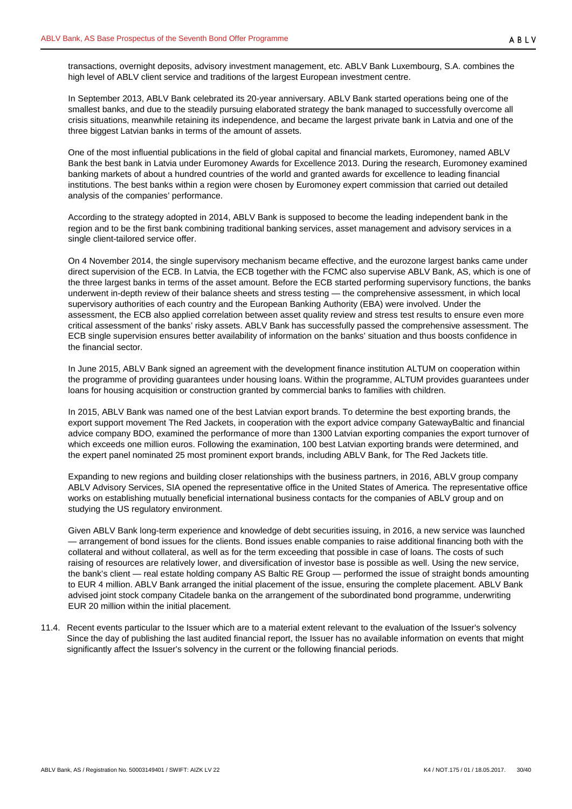In September 2013, ABLV Bank celebrated its 20-year anniversary. ABLV Bank started operations being one of the smallest banks, and due to the steadily pursuing elaborated strategy the bank managed to successfully overcome all crisis situations, meanwhile retaining its independence, and became the largest private bank in Latvia and one of the three biggest Latvian banks in terms of the amount of assets.

One of the most influential publications in the field of global capital and financial markets, Euromoney, named ABLV Bank the best bank in Latvia under Euromoney Awards for Excellence 2013. During the research, Euromoney examined banking markets of about a hundred countries of the world and granted awards for excellence to leading financial institutions. The best banks within a region were chosen by Euromoney expert commission that carried out detailed analysis of the companies' performance.

According to the strategy adopted in 2014, ABLV Bank is supposed to become the leading independent bank in the region and to be the first bank combining traditional banking services, asset management and advisory services in a single client-tailored service offer.

On 4 November 2014, the single supervisory mechanism became effective, and the eurozone largest banks came under direct supervision of the ECB. In Latvia, the ECB together with the FCMC also supervise ABLV Bank, AS, which is one of the three largest banks in terms of the asset amount. Before the ECB started performing supervisory functions, the banks underwent in-depth review of their balance sheets and stress testing — the comprehensive assessment, in which local supervisory authorities of each country and the European Banking Authority (EBA) were involved. Under the assessment, the ECB also applied correlation between asset quality review and stress test results to ensure even more critical assessment of the banks' risky assets. ABLV Bank has successfully passed the comprehensive assessment. The ECB single supervision ensures better availability of information on the banks' situation and thus boosts confidence in the financial sector.

In June 2015, ABLV Bank signed an agreement with the development finance institution ALTUM on cooperation within the programme of providing guarantees under housing loans. Within the programme, ALTUM provides guarantees under loans for housing acquisition or construction granted by commercial banks to families with children.

In 2015, ABLV Bank was named one of the best Latvian export brands. To determine the best exporting brands, the export support movement The Red Jackets, in cooperation with the export advice company GatewayBaltic and financial advice company BDO, examined the performance of more than 1300 Latvian exporting companies the export turnover of which exceeds one million euros. Following the examination, 100 best Latvian exporting brands were determined, and the expert panel nominated 25 most prominent export brands, including ABLV Bank, for The Red Jackets title.

Expanding to new regions and building closer relationships with the business partners, in 2016, ABLV group company ABLV Advisory Services, SIA opened the representative office in the United States of America. The representative office works on establishing mutually beneficial international business contacts for the companies of ABLV group and on studying the US regulatory environment.

Given ABLV Bank long-term experience and knowledge of debt securities issuing, in 2016, a new service was launched — arrangement of bond issues for the clients. Bond issues enable companies to raise additional financing both with the collateral and without collateral, as well as for the term exceeding that possible in case of loans. The costs of such raising of resources are relatively lower, and diversification of investor base is possible as well. Using the new service, the bank's client — real estate holding company AS Baltic RE Group — performed the issue of straight bonds amounting to EUR 4 million. ABLV Bank arranged the initial placement of the issue, ensuring the complete placement. ABLV Bank advised joint stock company Citadele banka on the arrangement of the subordinated bond programme, underwriting EUR 20 million within the initial placement.

<span id="page-29-0"></span>11.4. Recent events particular to the Issuer which are to a material extent relevant to the evaluation of the Issuer's solvency Since the day of publishing the last audited financial report, the Issuer has no available information on events that might significantly affect the Issuer's solvency in the current or the following financial periods.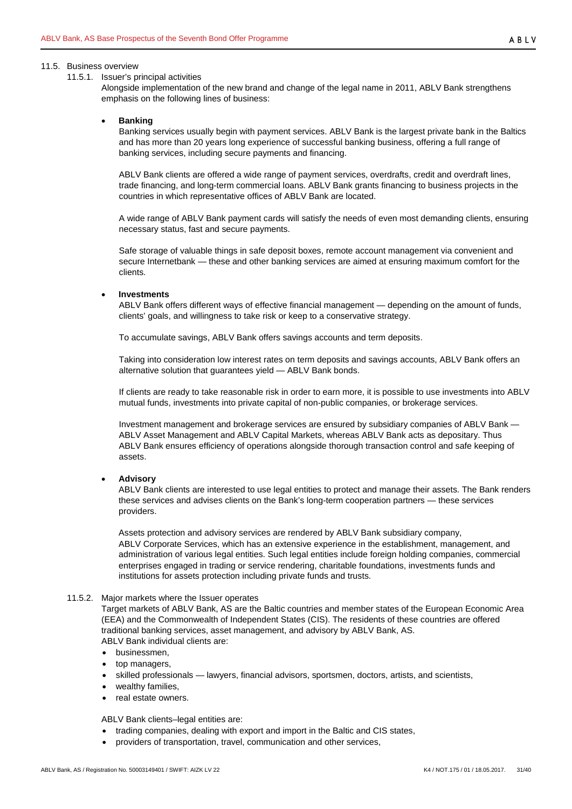#### <span id="page-30-0"></span>11.5. Business overview

#### <span id="page-30-1"></span>11.5.1. Issuer's principal activities

Alongside implementation of the new brand and change of the legal name in 2011, ABLV Bank strengthens emphasis on the following lines of business:

## • **Banking**

Banking services usually begin with payment services. ABLV Bank is the largest private bank in the Baltics and has more than 20 years long experience of successful banking business, offering a full range of banking services, including secure payments and financing.

ABLV Bank clients are offered a wide range of payment services, overdrafts, credit and overdraft lines, trade financing, and long-term commercial loans. ABLV Bank grants financing to business projects in the countries in which representative offices of ABLV Bank are located.

A wide range of ABLV Bank payment cards will satisfy the needs of even most demanding clients, ensuring necessary status, fast and secure payments.

Safe storage of valuable things in safe deposit boxes, remote account management via convenient and secure Internetbank — these and other banking services are aimed at ensuring maximum comfort for the clients.

#### • **Investments**

ABLV Bank offers different ways of effective financial management — depending on the amount of funds, clients' goals, and willingness to take risk or keep to a conservative strategy.

To accumulate savings, ABLV Bank offers savings accounts and term deposits.

Taking into consideration low interest rates on term deposits and savings accounts, ABLV Bank offers an alternative solution that guarantees yield — ABLV Bank bonds.

If clients are ready to take reasonable risk in order to earn more, it is possible to use investments into ABLV mutual funds, investments into private capital of non-public companies, or brokerage services.

Investment management and brokerage services are ensured by subsidiary companies of ABLV Bank — ABLV Asset Management and ABLV Capital Markets, whereas ABLV Bank acts as depositary. Thus ABLV Bank ensures efficiency of operations alongside thorough transaction control and safe keeping of assets.

#### • **Advisory**

ABLV Bank clients are interested to use legal entities to protect and manage their assets. The Bank renders these services and advises clients on the Bank's long-term cooperation partners — these services providers.

Assets protection and advisory services are rendered by ABLV Bank subsidiary company, ABLV Corporate Services, which has an extensive experience in the establishment, management, and administration of various legal entities. Such legal entities include foreign holding companies, commercial enterprises engaged in trading or service rendering, charitable foundations, investments funds and institutions for assets protection including private funds and trusts.

#### <span id="page-30-2"></span>11.5.2. Major markets where the Issuer operates

Target markets of ABLV Bank, AS are the Baltic countries and member states of the European Economic Area (EEA) and the Commonwealth of Independent States (CIS). The residents of these countries are offered traditional banking services, asset management, and advisory by ABLV Bank, AS. ABLV Bank individual clients are:

- businessmen,
- top managers,
- skilled professionals lawyers, financial advisors, sportsmen, doctors, artists, and scientists,
- wealthy families,
- real estate owners.

ABLV Bank clients–legal entities are:

- trading companies, dealing with export and import in the Baltic and CIS states,
- providers of transportation, travel, communication and other services,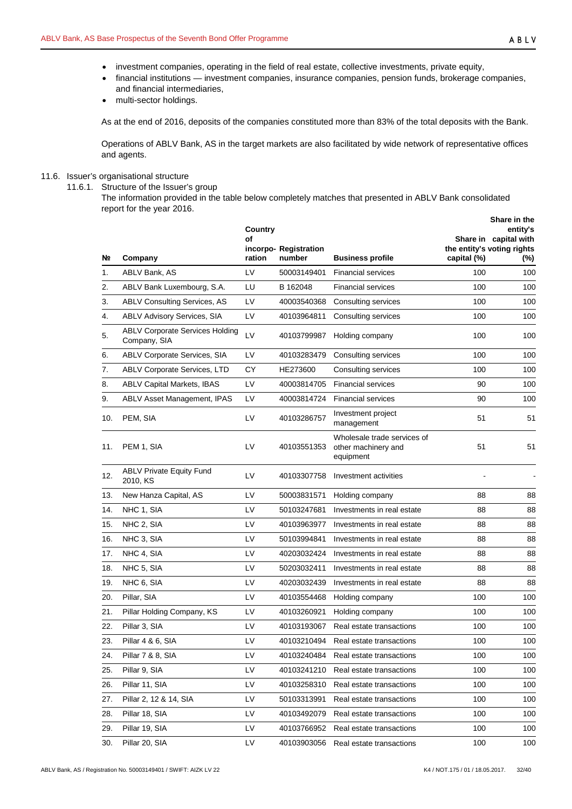- investment companies, operating in the field of real estate, collective investments, private equity,
- financial institutions investment companies, insurance companies, pension funds, brokerage companies, and financial intermediaries,
- multi-sector holdings.

As at the end of 2016, deposits of the companies constituted more than 83% of the total deposits with the Bank.

Operations of ABLV Bank, AS in the target markets are also facilitated by wide network of representative offices and agents.

# <span id="page-31-1"></span><span id="page-31-0"></span>11.6. Issuer's organisational structure

11.6.1. Structure of the Issuer's group

The information provided in the table below completely matches that presented in ABLV Bank consolidated report for the year 2016.

| Nº. | Company                                                | Country<br>οf<br>ration | incorpo-Registration<br>number | <b>Business profile</b>                                         | capital (%) | Share in the<br>entity's<br>Share in capital with<br>the entity's voting rights<br>$(\%)$ |
|-----|--------------------------------------------------------|-------------------------|--------------------------------|-----------------------------------------------------------------|-------------|-------------------------------------------------------------------------------------------|
| 1.  | ABLV Bank, AS                                          | LV                      | 50003149401                    | <b>Financial services</b>                                       | 100         | 100                                                                                       |
| 2.  | ABLV Bank Luxembourg, S.A.                             | LU                      | B 162048                       | <b>Financial services</b>                                       | 100         | 100                                                                                       |
| 3.  | <b>ABLV Consulting Services, AS</b>                    | LV                      | 40003540368                    | Consulting services                                             | 100         | 100                                                                                       |
| 4.  | ABLV Advisory Services, SIA                            | LV                      | 40103964811                    | Consulting services                                             | 100         | 100                                                                                       |
| 5.  | <b>ABLV Corporate Services Holding</b><br>Company, SIA | LV                      | 40103799987                    | Holding company                                                 | 100         | 100                                                                                       |
| 6.  | ABLV Corporate Services, SIA                           | LV                      | 40103283479                    | Consulting services                                             | 100         | 100                                                                                       |
| 7.  | ABLV Corporate Services, LTD                           | СY                      | HE273600                       | Consulting services                                             | 100         | 100                                                                                       |
| 8.  | <b>ABLV Capital Markets, IBAS</b>                      | LV                      | 40003814705                    | <b>Financial services</b>                                       | 90          | 100                                                                                       |
| 9.  | ABLV Asset Management, IPAS                            | LV                      | 40003814724                    | <b>Financial services</b>                                       | 90          | 100                                                                                       |
| 10. | PEM, SIA                                               | LV                      | 40103286757                    | Investment project<br>management                                | 51          | 51                                                                                        |
| 11. | PEM 1, SIA                                             | LV                      | 40103551353                    | Wholesale trade services of<br>other machinery and<br>equipment | 51          | 51                                                                                        |
| 12. | <b>ABLV Private Equity Fund</b><br>2010, KS            | LV                      | 40103307758                    | Investment activities                                           |             |                                                                                           |
| 13. | New Hanza Capital, AS                                  | LV                      | 50003831571                    | Holding company                                                 | 88          | 88                                                                                        |
| 14. | NHC 1, SIA                                             | LV                      | 50103247681                    | Investments in real estate                                      | 88          | 88                                                                                        |
| 15. | NHC 2, SIA                                             | LV                      | 40103963977                    | Investments in real estate                                      | 88          | 88                                                                                        |
| 16. | NHC 3, SIA                                             | LV                      | 50103994841                    | Investments in real estate                                      | 88          | 88                                                                                        |
| 17. | NHC 4, SIA                                             | LV                      | 40203032424                    | Investments in real estate                                      | 88          | 88                                                                                        |
| 18. | NHC 5, SIA                                             | LV                      | 50203032411                    | Investments in real estate                                      | 88          | 88                                                                                        |
| 19. | NHC 6, SIA                                             | LV                      | 40203032439                    | Investments in real estate                                      | 88          | 88                                                                                        |
| 20. | Pillar, SIA                                            | LV                      | 40103554468                    | Holding company                                                 | 100         | 100                                                                                       |
| 21. | Pillar Holding Company, KS                             | LV                      | 40103260921                    | Holding company                                                 | 100         | 100                                                                                       |
| 22. | Pillar 3, SIA                                          | LV                      | 40103193067                    | Real estate transactions                                        | 100         | 100                                                                                       |
| 23. | Pillar 4 & 6, SIA                                      | LV                      | 40103210494                    | Real estate transactions                                        | 100         | 100                                                                                       |
| 24. | Pillar 7 & 8, SIA                                      | LV                      | 40103240484                    | Real estate transactions                                        | 100         | 100                                                                                       |
| 25. | Pillar 9, SIA                                          | LV                      | 40103241210                    | Real estate transactions                                        | 100         | 100                                                                                       |
| 26. | Pillar 11, SIA                                         | LV                      | 40103258310                    | Real estate transactions                                        | 100         | 100                                                                                       |
| 27. | Pillar 2, 12 & 14, SIA                                 | LV                      | 50103313991                    | Real estate transactions                                        | 100         | 100                                                                                       |
| 28. | Pillar 18, SIA                                         | LV                      | 40103492079                    | Real estate transactions                                        | 100         | 100                                                                                       |
| 29. | Pillar 19, SIA                                         | LV                      | 40103766952                    | Real estate transactions                                        | 100         | 100                                                                                       |
| 30. | Pillar 20, SIA                                         | LV                      | 40103903056                    | Real estate transactions                                        | 100         | 100                                                                                       |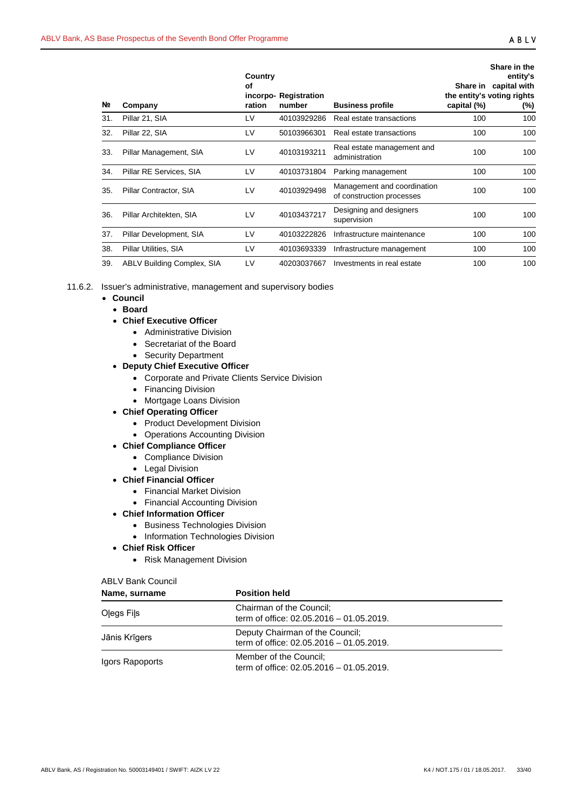| Nº. | Company                    | Country<br>οf<br>ration | incorpo-Registration<br>number | <b>Business profile</b>                                  | capital (%) | Share in the<br>entity's<br>Share in capital with<br>the entity's voting rights<br>$(\%)$ |
|-----|----------------------------|-------------------------|--------------------------------|----------------------------------------------------------|-------------|-------------------------------------------------------------------------------------------|
| 31. | Pillar 21, SIA             | LV                      | 40103929286                    | Real estate transactions                                 | 100         | 100                                                                                       |
| 32. | Pillar 22, SIA             | LV                      | 50103966301                    | Real estate transactions                                 | 100         | 100                                                                                       |
| 33. | Pillar Management, SIA     | LV                      | 40103193211                    | Real estate management and<br>administration             | 100         | 100                                                                                       |
| 34. | Pillar RE Services, SIA    | LV                      | 40103731804                    | Parking management                                       | 100         | 100                                                                                       |
| 35. | Pillar Contractor, SIA     | LV                      | 40103929498                    | Management and coordination<br>of construction processes | 100         | 100                                                                                       |
| 36. | Pillar Architekten, SIA    | LV                      | 40103437217                    | Designing and designers<br>supervision                   | 100         | 100                                                                                       |
| 37. | Pillar Development, SIA    | LV                      | 40103222826                    | Infrastructure maintenance                               | 100         | 100                                                                                       |
| 38. | Pillar Utilities, SIA      | LV                      | 40103693339                    | Infrastructure management                                | 100         | 100                                                                                       |
| 39. | ABLV Building Complex, SIA | LV                      | 40203037667                    | Investments in real estate                               | 100         | 100                                                                                       |

## <span id="page-32-0"></span>11.6.2. Issuer's administrative, management and supervisory bodies

# • **Council**

- **Board**
- **Chief Executive Officer**
	- Administrative Division
		- Secretariat of the Board
		- Security Department
- **Deputy Chief Executive Officer**
	- Corporate and Private Clients Service Division
	- Financing Division
	- Mortgage Loans Division

#### • **Chief Operating Officer**

- Product Development Division
- Operations Accounting Division
- **Chief Compliance Officer**
	- Compliance Division
	- Legal Division
- **Chief Financial Officer**
	- Financial Market Division
	- Financial Accounting Division
- **Chief Information Officer**
	- Business Technologies Division
	- Information Technologies Division

## • **Chief Risk Officer**

• Risk Management Division

# ABLV Bank Council

| Name, surname   | <b>Position held</b>                                                        |
|-----------------|-----------------------------------------------------------------------------|
| Olegs Fils      | Chairman of the Council;<br>term of office: 02.05.2016 - 01.05.2019.        |
| Jānis Krīgers   | Deputy Chairman of the Council;<br>term of office: 02.05.2016 - 01.05.2019. |
| Igors Rapoports | Member of the Council;<br>term of office: 02.05.2016 - 01.05.2019.          |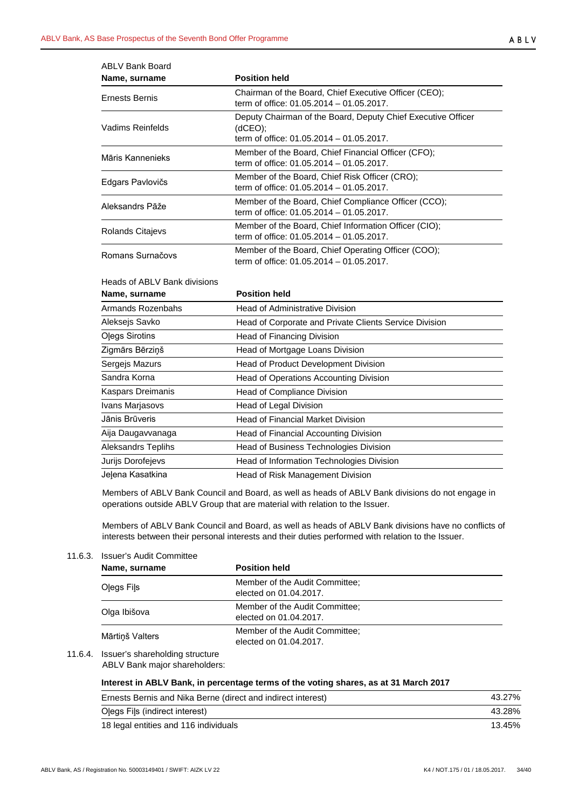| ABLV Bank Board  |                                                                                                                     |
|------------------|---------------------------------------------------------------------------------------------------------------------|
| Name, surname    | <b>Position held</b>                                                                                                |
| Ernests Bernis   | Chairman of the Board, Chief Executive Officer (CEO);<br>term of office: 01.05.2014 - 01.05.2017.                   |
| Vadims Reinfelds | Deputy Chairman of the Board, Deputy Chief Executive Officer<br>(dCEO);<br>term of office: 01.05.2014 – 01.05.2017. |
| Māris Kannenieks | Member of the Board, Chief Financial Officer (CFO);<br>term of office: 01.05.2014 - 01.05.2017.                     |
| Edgars Pavlovičs | Member of the Board, Chief Risk Officer (CRO);<br>term of office: 01.05.2014 - 01.05.2017.                          |
| Aleksandrs Pāže  | Member of the Board, Chief Compliance Officer (CCO);<br>term of office: 01.05.2014 – 01.05.2017.                    |
| Rolands Citajevs | Member of the Board, Chief Information Officer (CIO);<br>term of office: 01.05.2014 – 01.05.2017.                   |
| Romans Surnačovs | Member of the Board, Chief Operating Officer (COO);<br>term of office: 01.05.2014 - 01.05.2017.                     |

| Heads of ABLV Bank divisions |
|------------------------------|
|------------------------------|

| Name, surname         | <b>Position held</b>                                   |
|-----------------------|--------------------------------------------------------|
| Armands Rozenbahs     | <b>Head of Administrative Division</b>                 |
| Aleksejs Savko        | Head of Corporate and Private Clients Service Division |
| <b>Olegs Sirotins</b> | Head of Financing Division                             |
| Zigmārs Bērziņš       | Head of Mortgage Loans Division                        |
| Sergejs Mazurs        | Head of Product Development Division                   |
| Sandra Korna          | Head of Operations Accounting Division                 |
| Kaspars Dreimanis     | Head of Compliance Division                            |
| Ivans Marjasovs       | Head of Legal Division                                 |
| Jānis Brūveris        | <b>Head of Financial Market Division</b>               |
| Aija Daugavvanaga     | Head of Financial Accounting Division                  |
| Aleksandrs Teplihs    | Head of Business Technologies Division                 |
| Jurijs Dorofejevs     | Head of Information Technologies Division              |
| Jelena Kasatkina      | Head of Risk Management Division                       |

Members of ABLV Bank Council and Board, as well as heads of ABLV Bank divisions do not engage in operations outside ABLV Group that are material with relation to the Issuer.

Members of ABLV Bank Council and Board, as well as heads of ABLV Bank divisions have no conflicts of interests between their personal interests and their duties performed with relation to the Issuer.

## <span id="page-33-0"></span>11.6.3. Issuer's Audit Committee

| Name, surname   | <b>Position held</b>                                     |  |  |  |  |
|-----------------|----------------------------------------------------------|--|--|--|--|
| Olegs Fils      | Member of the Audit Committee:<br>elected on 01.04.2017. |  |  |  |  |
| Olga Ibišova    | Member of the Audit Committee:<br>elected on 01.04.2017. |  |  |  |  |
| Mārtiņš Valters | Member of the Audit Committee:<br>elected on 01.04.2017. |  |  |  |  |

<span id="page-33-1"></span>11.6.4. Issuer's shareholding structure ABLV Bank major shareholders:

# **Interest in ABLV Bank, in percentage terms of the voting shares, as at 31 March 2017**

| Ernests Bernis and Nika Berne (direct and indirect interest) | 43.27% |
|--------------------------------------------------------------|--------|
| Olegs Fils (indirect interest)                               | 43.28% |
| 18 legal entities and 116 individuals                        | 13.45% |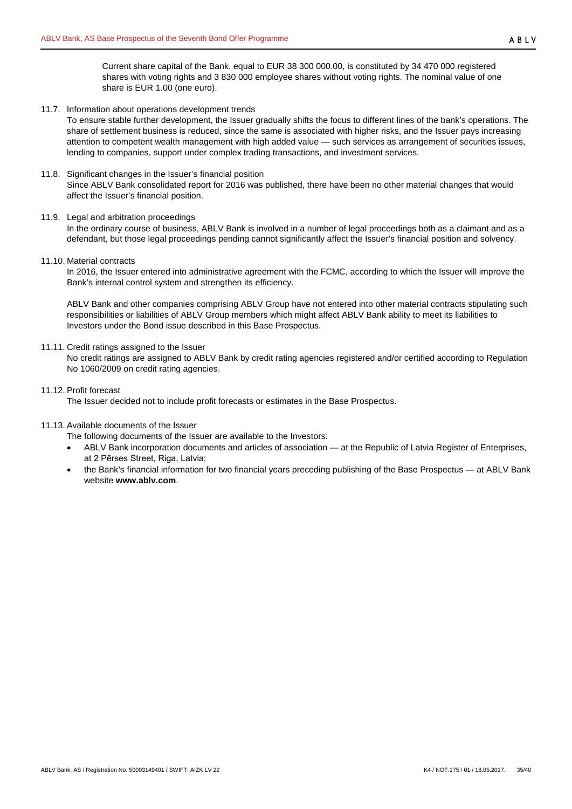<span id="page-34-0"></span>11.7. Information about operations development trends

To ensure stable further development, the Issuer gradually shifts the focus to different lines of the bank's operations. The share of settlement business is reduced, since the same is associated with higher risks, and the Issuer pays increasing attention to competent wealth management with high added value — such services as arrangement of securities issues, lending to companies, support under complex trading transactions, and investment services.

## <span id="page-34-1"></span>11.8. Significant changes in the Issuer's financial position

Since ABLV Bank consolidated report for 2016 was published, there have been no other material changes that would affect the Issuer's financial position.

## <span id="page-34-2"></span>11.9. Legal and arbitration proceedings

In the ordinary course of business, ABLV Bank is involved in a number of legal proceedings both as a claimant and as a defendant, but those legal proceedings pending cannot significantly affect the Issuer's financial position and solvency.

<span id="page-34-3"></span>11.10. Material contracts

In 2016, the Issuer entered into administrative agreement with the FCMC, according to which the Issuer will improve the Bank's internal control system and strengthen its efficiency.

ABLV Bank and other companies comprising ABLV Group have not entered into other material contracts stipulating such responsibilities or liabilities of ABLV Group members which might affect ABLV Bank ability to meet its liabilities to Investors under the Bond issue described in this Base Prospectus.

# <span id="page-34-4"></span>11.11. Credit ratings assigned to the Issuer

No credit ratings are assigned to ABLV Bank by credit rating agencies registered and/or certified according to Regulation No 1060/2009 on credit rating agencies.

<span id="page-34-5"></span>11.12. Profit forecast

The Issuer decided not to include profit forecasts or estimates in the Base Prospectus.

- <span id="page-34-6"></span>11.13. Available documents of the Issuer
	- The following documents of the Issuer are available to the Investors:
	- ABLV Bank incorporation documents and articles of association at the Republic of Latvia Register of Enterprises, at 2 Pērses Street, Riga, Latvia;
	- the Bank's financial information for two financial years preceding publishing of the Base Prospectus at ABLV Bank website **www.ablv.com**.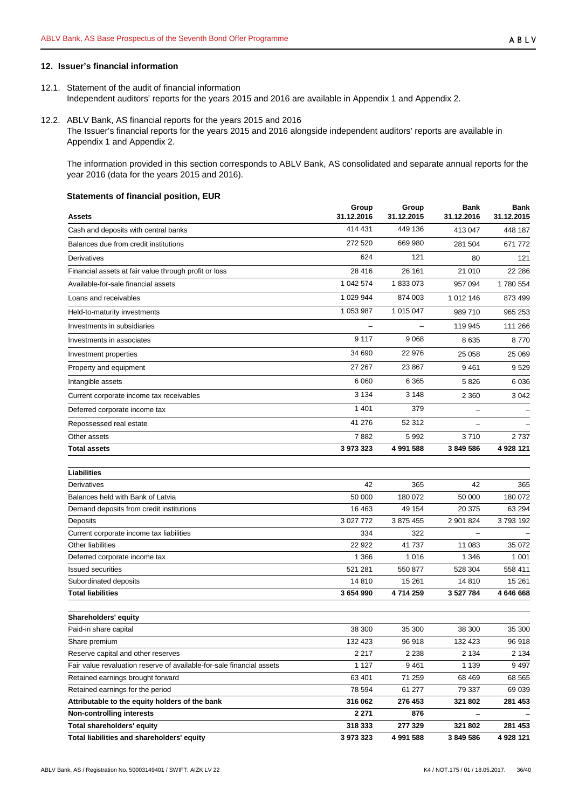# <span id="page-35-0"></span>**12. Issuer's financial information**

- <span id="page-35-1"></span>12.1. Statement of the audit of financial information Independent auditors' reports for the years 2015 and 2016 are available in Appendix 1 and Appendix 2.
- <span id="page-35-2"></span>12.2. ABLV Bank, AS financial reports for the years 2015 and 2016 The Issuer's financial reports for the years 2015 and 2016 alongside independent auditors' reports are available in Appendix 1 and Appendix 2.

The information provided in this section corresponds to ABLV Bank, AS consolidated and separate annual reports for the year 2016 (data for the years 2015 and 2016).

#### **Statements of financial position, EUR**

| <b>Assets</b>                                                         | Group<br>31.12.2016 | Group<br>31.12.2015 | Bank<br>31.12.2016       | Bank<br>31.12.2015 |
|-----------------------------------------------------------------------|---------------------|---------------------|--------------------------|--------------------|
| Cash and deposits with central banks                                  | 414 431             | 449 136             | 413 047                  | 448 187            |
| Balances due from credit institutions                                 | 272 520             | 669 980             | 281 504                  | 671 772            |
| Derivatives                                                           | 624                 | 121                 | 80                       | 121                |
| Financial assets at fair value through profit or loss                 | 28 416              | 26 161              | 21 010                   | 22 28 6            |
| Available-for-sale financial assets                                   | 1 042 574           | 1833073             | 957 094                  | 1780 554           |
| Loans and receivables                                                 | 1 029 944           | 874 003             | 1 012 146                | 873 499            |
| Held-to-maturity investments                                          | 1 053 987           | 1 015 047           | 989 710                  | 965 253            |
| Investments in subsidiaries                                           |                     |                     | 119 945                  | 111 266            |
| Investments in associates                                             | 9 1 1 7             | 9 0 68              | 8 6 3 5                  | 8770               |
| Investment properties                                                 | 34 690              | 22 976              | 25 058                   | 25 069             |
| Property and equipment                                                | 27 267              | 23 867              | 9 4 61                   | 9529               |
| Intangible assets                                                     | 6 0 6 0             | 6 3 6 5             | 5826                     | 6 0 36             |
| Current corporate income tax receivables                              | 3 1 3 4             | 3 1 4 8             | 2 3 6 0                  | 3 0 4 2            |
| Deferred corporate income tax                                         | 1 4 0 1             | 379                 | $\overline{\phantom{0}}$ |                    |
| Repossessed real estate                                               | 41 276              | 52 312              |                          |                    |
| Other assets                                                          | 7882                | 5 9 9 2             | 3710                     | 2 7 3 7            |
| <b>Total assets</b>                                                   | 3 973 323           | 4 991 588           | 3 849 586                | 4 928 121          |
|                                                                       |                     |                     |                          |                    |
| Liabilities                                                           |                     |                     |                          |                    |
| Derivatives                                                           | 42                  | 365                 | 42                       | 365                |
| Balances held with Bank of Latvia                                     | 50 000              | 180 072             | 50 000                   | 180 072            |
| Demand deposits from credit institutions                              | 16 4 63             | 49 154              | 20 375                   | 63 294             |
| Deposits                                                              | 3 027 772           | 3 875 455           | 2 901 824                | 3793192            |
| Current corporate income tax liabilities                              | 334                 | 322                 |                          |                    |
| Other liabilities                                                     | 22 922              | 41 737              | 11 083                   | 35 072             |
| Deferred corporate income tax                                         | 1 3 6 6             | 1 0 1 6             | 1 3 4 6                  | 1 0 0 1            |
| <b>Issued securities</b>                                              | 521 281             | 550 877             | 528 304                  | 558 411            |
| Subordinated deposits                                                 | 14 810              | 15 261              | 14 8 10                  | 15 261             |
| <b>Total liabilities</b>                                              | 3 654 990           | 4714259             | 3 5 2 7 7 8 4            | 4 646 668          |
|                                                                       |                     |                     |                          |                    |
| Shareholders' equity                                                  |                     |                     |                          |                    |
| Paid-in share capital                                                 | 38 300              | 35 300              | 38 300                   | 35 300             |
| Share premium                                                         | 132 423             | 96 918              | 132 423                  | 96 918             |
| Reserve capital and other reserves                                    | 2 2 1 7             | 2 2 3 8             | 2 1 3 4                  | 2 1 3 4            |
| Fair value revaluation reserve of available-for-sale financial assets | 1 1 2 7             | 9461                | 1 1 3 9                  | 9497               |
| Retained earnings brought forward                                     | 63 401              | 71 259              | 68 469                   | 68 565             |
| Retained earnings for the period                                      | 78 594              | 61 277              | 79 337                   | 69 039             |
| Attributable to the equity holders of the bank                        | 316 062             | 276 453             | 321 802                  | 281 453            |
| Non-controlling interests                                             | 2 2 7 1             | 876                 |                          |                    |
| <b>Total shareholders' equity</b>                                     | 318 333             | 277 329             | 321 802                  | 281 453            |
| Total liabilities and shareholders' equity                            | 3 973 323           | 4 991 588           | 3 849 586                | 4 928 121          |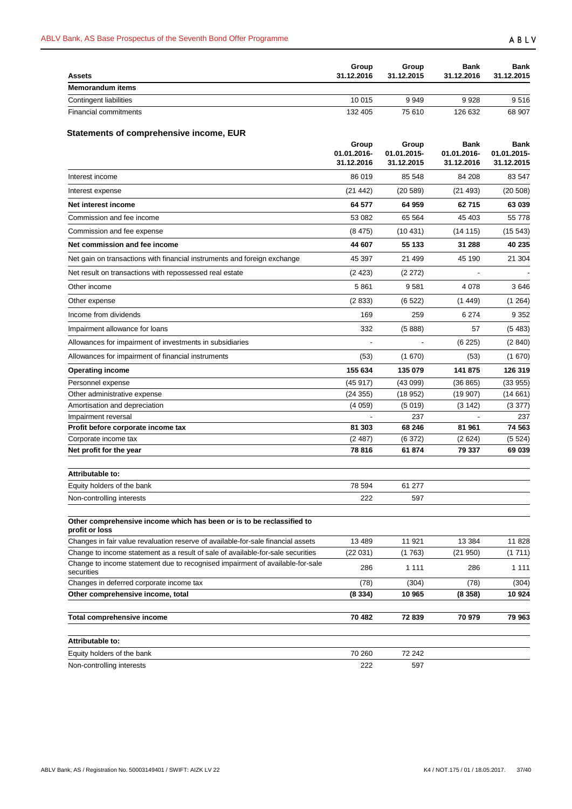| <b>Assets</b>                | Group<br>31.12.2016 | Group<br>31.12.2015 | Bank<br>31.12.2016 | <b>Bank</b><br>31.12.2015 |
|------------------------------|---------------------|---------------------|--------------------|---------------------------|
| <b>Memorandum items</b>      |                     |                     |                    |                           |
| Contingent liabilities       | 10 015              | 9949                | 9928               | 9516                      |
| <b>Financial commitments</b> | 132 405             | 75 610              | 126 632            | 68 907                    |

# **Statements of comprehensive income, EUR**

|                                                                                             | Group<br>01.01.2016-<br>31.12.2016 | Group<br>01.01.2015-<br>31.12.2015 | <b>Bank</b><br>01.01.2016-<br>31.12.2016 | Bank<br>01.01.2015-<br>31.12.2015 |
|---------------------------------------------------------------------------------------------|------------------------------------|------------------------------------|------------------------------------------|-----------------------------------|
| Interest income                                                                             | 86 019                             | 85 548                             | 84 208                                   | 83 547                            |
| Interest expense                                                                            | (21 442)                           | (20589)                            | (21 493)                                 | (20 508)                          |
| Net interest income                                                                         | 64 577                             | 64 959                             | 62 715                                   | 63 039                            |
| Commission and fee income                                                                   | 53 082                             | 65 5 64                            | 45 403                                   | 55 778                            |
| Commission and fee expense                                                                  | (8475)                             | (10431)                            | (14 115)                                 | (15543)                           |
| Net commission and fee income                                                               | 44 607                             | 55 133                             | 31 288                                   | 40 235                            |
| Net gain on transactions with financial instruments and foreign exchange                    | 45 397                             | 21 499                             | 45 190                                   | 21 304                            |
| Net result on transactions with repossessed real estate                                     | (2423)                             | (2 272)                            |                                          |                                   |
| Other income                                                                                | 5861                               | 9581                               | 4 0 7 8                                  | 3646                              |
| Other expense                                                                               | (2833)                             | (6522)                             | (1449)                                   | (1264)                            |
| Income from dividends                                                                       | 169                                | 259                                | 6 2 7 4                                  | 9 3 5 2                           |
| Impairment allowance for loans                                                              | 332                                | (5888)                             | 57                                       | (5483)                            |
| Allowances for impairment of investments in subsidiaries                                    |                                    |                                    | (6225)                                   | (2840)                            |
| Allowances for impairment of financial instruments                                          | (53)                               | (1670)                             | (53)                                     | (1670)                            |
| <b>Operating income</b>                                                                     | 155 634                            | 135 079                            | 141 875                                  | 126 319                           |
| Personnel expense                                                                           | (45917)                            | (43099)                            | (36 865)                                 | (33955)                           |
| Other administrative expense                                                                | (24355)                            | (18952)                            | (19907)                                  | (14661)                           |
| Amortisation and depreciation                                                               | (4059)                             | (5019)                             | (3 142)                                  | (3377)                            |
| Impairment reversal                                                                         |                                    | 237                                |                                          | 237                               |
| Profit before corporate income tax                                                          | 81 303                             | 68 246                             | 81 961                                   | 74 563                            |
| Corporate income tax                                                                        | (2487)                             | (6372)                             | (2624)                                   | (5524)                            |
| Net profit for the year                                                                     | 78 816                             | 61 874                             | 79 337                                   | 69039                             |
| Attributable to:                                                                            |                                    |                                    |                                          |                                   |
| Equity holders of the bank                                                                  | 78 594                             | 61 277                             |                                          |                                   |
| Non-controlling interests                                                                   | 222                                | 597                                |                                          |                                   |
| Other comprehensive income which has been or is to be reclassified to<br>profit or loss     |                                    |                                    |                                          |                                   |
| Changes in fair value revaluation reserve of available-for-sale financial assets            | 13 4 89                            | 11 921                             | 13 3 84                                  | 11 828                            |
| Change to income statement as a result of sale of available-for-sale securities             | (22 031)                           | (1763)                             | (21 950)                                 | (1711)                            |
| Change to income statement due to recognised impairment of available-for-sale<br>securities | 286                                | 1 1 1 1                            | 286                                      | 1 1 1 1                           |
| Changes in deferred corporate income tax                                                    | (78)                               | (304)                              | (78)                                     | (304)                             |
| Other comprehensive income, total                                                           | (8 334)                            | 10 965                             | (8358)                                   | 10924                             |
| Total comprehensive income                                                                  | 70 482                             | 72 839                             | 70 979                                   | 79 963                            |
| Attributable to:                                                                            |                                    |                                    |                                          |                                   |
| Equity holders of the bank                                                                  | 70 260                             | 72 242                             |                                          |                                   |
| Non-controlling interests                                                                   | 222                                | 597                                |                                          |                                   |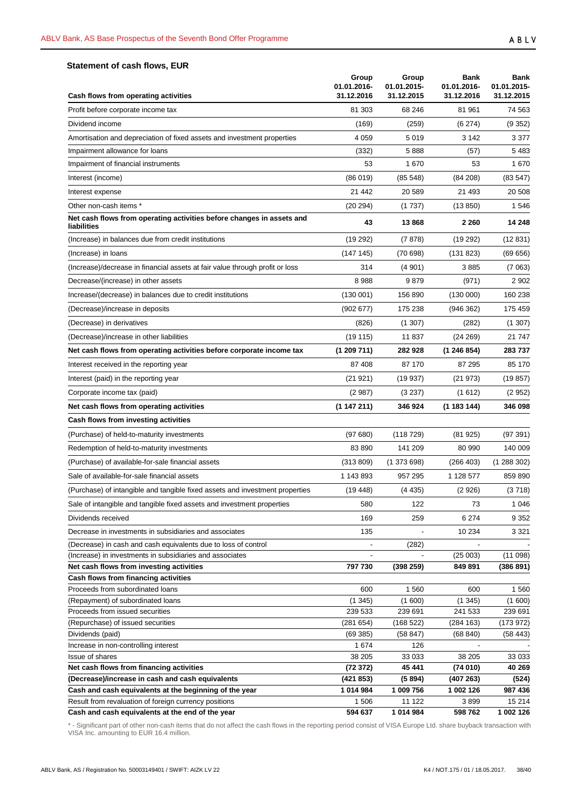# **Statement of cash flows, EUR**

| Cash flows from operating activities                                                                                       | Group<br>01.01.2016-<br>31.12.2016 | Group<br>01.01.2015-<br>31.12.2015 | <b>Bank</b><br>01.01.2016-<br>31.12.2016 | <b>Bank</b><br>01.01.2015-<br>31.12.2015 |
|----------------------------------------------------------------------------------------------------------------------------|------------------------------------|------------------------------------|------------------------------------------|------------------------------------------|
| Profit before corporate income tax                                                                                         | 81 303                             | 68 24 6                            | 81 961                                   | 74 563                                   |
| Dividend income                                                                                                            | (169)                              | (259)                              | (6274)                                   | (9352)                                   |
| Amortisation and depreciation of fixed assets and investment properties                                                    | 4 0 5 9                            | 5019                               | 3 1 4 2                                  | 3 3 7 7                                  |
| Impairment allowance for loans                                                                                             | (332)                              | 5888                               | (57)                                     | 5 4 8 3                                  |
| Impairment of financial instruments                                                                                        | 53                                 | 1670                               | 53                                       | 1670                                     |
| Interest (income)                                                                                                          | (86019)                            | (85548)                            | (84 208)                                 | (83547)                                  |
| Interest expense                                                                                                           | 21 442                             | 20 589                             | 21 493                                   | 20 508                                   |
| Other non-cash items *                                                                                                     | (20 294)                           | (1737)                             | (13 850)                                 | 1 5 4 6                                  |
| Net cash flows from operating activities before changes in assets and<br>liabilities                                       | 43                                 | 13868                              | 2 2 6 0                                  | 14 248                                   |
| (Increase) in balances due from credit institutions                                                                        | (19 292)                           | (7878)                             | (19 292)                                 | (12831)                                  |
| (Increase) in loans                                                                                                        | (147145)                           | (70698)                            | (131 823)                                | (69656)                                  |
| (Increase)/decrease in financial assets at fair value through profit or loss                                               | 314                                | (4901)                             | 3885                                     | (7063)                                   |
| Decrease/(increase) in other assets                                                                                        | 8988                               | 9879                               | (971)                                    | 2 9 0 2                                  |
| Increase/(decrease) in balances due to credit institutions                                                                 | (130001)                           | 156 890                            | (130000)                                 | 160 238                                  |
| (Decrease)/increase in deposits                                                                                            | (902677)                           | 175 238                            | (946 362)                                | 175 459                                  |
| (Decrease) in derivatives                                                                                                  | (826)                              | (1307)                             | (282)                                    | (1307)                                   |
| (Decrease)/increase in other liabilities                                                                                   | (19115)                            | 11 837                             | (24 269)                                 | 21 747                                   |
| Net cash flows from operating activities before corporate income tax                                                       | (1 209 711)                        | 282 928                            | (1246854)                                | 283737                                   |
| Interest received in the reporting year                                                                                    | 87 408                             | 87 170                             | 87 295                                   | 85 170                                   |
| Interest (paid) in the reporting year                                                                                      | (21 921)                           | (19937)                            | (21 973)                                 | (19 857)                                 |
| Corporate income tax (paid)                                                                                                | (2987)                             | (3 237)                            | (1612)                                   | (2952)                                   |
| Net cash flows from operating activities                                                                                   | (1 147 211)                        | 346 924                            | (1 183 144)                              | 346 098                                  |
| Cash flows from investing activities                                                                                       |                                    |                                    |                                          |                                          |
| (Purchase) of held-to-maturity investments                                                                                 | (97680)                            | (118729)                           | (81925)                                  | (97391)                                  |
| Redemption of held-to-maturity investments                                                                                 | 83 890                             | 141 209                            | 80 990                                   | 140 009                                  |
| (Purchase) of available-for-sale financial assets                                                                          | (313 809)                          | (1373698)                          | (266 403)                                | (1288302)                                |
| Sale of available-for-sale financial assets                                                                                | 1 143 893                          | 957 295                            | 1 128 577                                | 859 890                                  |
| (Purchase) of intangible and tangible fixed assets and investment properties                                               | (19, 448)                          | (4435)                             | (2926)                                   | (3718)                                   |
| Sale of intangible and tangible fixed assets and investment properties                                                     | 580                                | 122                                | 73                                       | 1 0 4 6                                  |
|                                                                                                                            |                                    |                                    |                                          |                                          |
| Dividends received                                                                                                         | 169                                | 259                                | 6 2 7 4                                  | 9 3 5 2                                  |
| Decrease in investments in subsidiaries and associates                                                                     | 135                                |                                    | 10 234                                   | 3 3 2 1                                  |
| (Decrease) in cash and cash equivalents due to loss of control<br>(Increase) in investments in subsidiaries and associates |                                    | (282)                              | (25003)                                  | (11098)                                  |
| Net cash flows from investing activities                                                                                   | 797 730                            | (398 259)                          | 849 891                                  | (386 891)                                |
| Cash flows from financing activities                                                                                       |                                    |                                    |                                          |                                          |
| Proceeds from subordinated loans                                                                                           | 600                                | 1 560                              | 600                                      | 1 560                                    |
| (Repayment) of subordinated loans                                                                                          | (1345)                             | (1600)                             | (1345)                                   | (1600)                                   |
| Proceeds from issued securities                                                                                            | 239 533                            | 239 691                            | 241 533                                  | 239 691                                  |
| (Repurchase) of issued securities                                                                                          | (281654)                           | (168522)                           | (284 163)                                | (173 972)                                |
| Dividends (paid)                                                                                                           | (69385)                            | (58847)                            | (68 840)                                 | (58443)                                  |
| Increase in non-controlling interest                                                                                       | 1674                               | 126                                | $\overline{\phantom{a}}$                 |                                          |
| <b>Issue of shares</b>                                                                                                     | 38 205                             | 33 033                             | 38 205                                   | 33 033                                   |
| Net cash flows from financing activities                                                                                   | (72372)                            | 45 441                             | (74 010)                                 | 40 269                                   |
| (Decrease)/increase in cash and cash equivalents                                                                           | (421 853)                          | (5894)                             | (407 263)                                | (524)                                    |
| Cash and cash equivalents at the beginning of the year                                                                     | 1 014 984                          | 1 009 756                          | 1 002 126                                | 987 436                                  |
| Result from revaluation of foreign currency positions<br>Cash and cash equivalents at the end of the year                  | 1 506<br>594 637                   | 11 122<br>1014984                  | 3899<br>598762                           | 15 214<br>1 002 126                      |
|                                                                                                                            |                                    |                                    |                                          |                                          |

\* - Significant part of other non-cash items that do not affect the cash flows in the reporting period consist of VISA Europe Ltd. share buyback transaction with VISA Inc. amounting to EUR 16.4 million.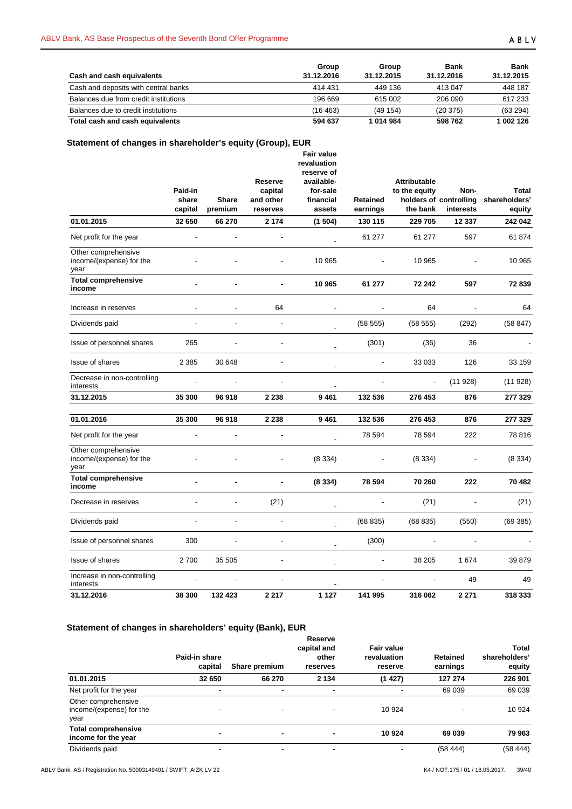| Cash and cash equivalents             | Group<br>31.12.2016 | Group<br>31.12.2015 | Bank<br>31.12.2016 | <b>Bank</b><br>31.12.2015 |
|---------------------------------------|---------------------|---------------------|--------------------|---------------------------|
| Cash and deposits with central banks  | 414 431             | 449 136             | 413 047            | 448 187                   |
| Balances due from credit institutions | 196 669             | 615 002             | 206 090            | 617 233                   |
| Balances due to credit institutions   | (16 463)            | (49154)             | (20375)            | (63 294)                  |
| Total cash and cash equivalents       | 594 637             | 1014984             | 598762             | 1 002 126                 |

# **Statement of changes in shareholder's equity (Group), EUR**

|                                                         | Paid-in<br>share<br>capital | <b>Share</b><br>premium | Reserve<br>capital<br>and other<br>reserves | Fair value<br>revaluation<br>reserve of<br>available-<br>for-sale<br>financial<br>assets | Retained<br>earnings | <b>Attributable</b><br>to the equity<br>the bank | Non-<br>holders of controlling<br>interests | <b>Total</b><br>shareholders'<br>equity |
|---------------------------------------------------------|-----------------------------|-------------------------|---------------------------------------------|------------------------------------------------------------------------------------------|----------------------|--------------------------------------------------|---------------------------------------------|-----------------------------------------|
| 01.01.2015                                              | 32 650                      | 66 270                  | 2 1 7 4                                     | (1504)                                                                                   | 130 115              | 229 705                                          | 12 337                                      | 242 042                                 |
| Net profit for the year                                 |                             |                         |                                             |                                                                                          | 61 277               | 61 277                                           | 597                                         | 61874                                   |
| Other comprehensive<br>income/(expense) for the<br>year |                             |                         |                                             | 10 965                                                                                   |                      | 10 965                                           |                                             | 10 965                                  |
| <b>Total comprehensive</b><br>income                    |                             |                         |                                             | 10 965                                                                                   | 61 277               | 72 242                                           | 597                                         | 72839                                   |
| Increase in reserves                                    |                             |                         | 64                                          |                                                                                          |                      | 64                                               |                                             | 64                                      |
| Dividends paid                                          |                             |                         | $\overline{\phantom{a}}$                    |                                                                                          | (58555)              | (58555)                                          | (292)                                       | (58847)                                 |
| Issue of personnel shares                               | 265                         |                         | $\overline{a}$                              |                                                                                          | (301)                | (36)                                             | 36                                          |                                         |
| Issue of shares                                         | 2 3 8 5                     | 30 648                  |                                             |                                                                                          |                      | 33 033                                           | 126                                         | 33 159                                  |
| Decrease in non-controlling<br>interests                |                             |                         |                                             |                                                                                          |                      |                                                  | (11928)                                     | (11928)                                 |
| 31.12.2015                                              | 35 300                      | 96 918                  | 2 2 3 8                                     | 9461                                                                                     | 132 536              | 276 453                                          | 876                                         | 277 329                                 |
| 01.01.2016                                              | 35 300                      | 96 918                  | 2 2 3 8                                     | 9461                                                                                     | 132 536              | 276 453                                          | 876                                         | 277 329                                 |
| Net profit for the year                                 |                             |                         |                                             |                                                                                          | 78 594               | 78 594                                           | 222                                         | 78 816                                  |
| Other comprehensive<br>income/(expense) for the<br>year |                             |                         |                                             | (8334)                                                                                   |                      | (8334)                                           |                                             | (8334)                                  |
| <b>Total comprehensive</b><br>income                    |                             |                         |                                             | (8334)                                                                                   | 78 594               | 70 260                                           | 222                                         | 70 482                                  |
| Decrease in reserves                                    |                             |                         | (21)                                        |                                                                                          |                      | (21)                                             |                                             | (21)                                    |
| Dividends paid                                          |                             |                         |                                             |                                                                                          | (68 835)             | (68 835)                                         | (550)                                       | (69385)                                 |
| Issue of personnel shares                               | 300                         |                         | $\overline{a}$                              |                                                                                          | (300)                |                                                  |                                             |                                         |
| Issue of shares                                         | 2700                        | 35 505                  |                                             |                                                                                          |                      | 38 205                                           | 1674                                        | 39 879                                  |
| Increase in non-controlling<br>interests                |                             |                         |                                             |                                                                                          |                      |                                                  | 49                                          | 49                                      |
| 31.12.2016                                              | 38 300                      | 132 423                 | 2 2 1 7                                     | 1 1 2 7                                                                                  | 141 995              | 316 062                                          | 2 2 7 1                                     | 318 333                                 |

# **Statement of changes in shareholders' equity (Bank), EUR**

|                                                         | Paid-in share<br>capital | Share premium            | Reserve<br>capital and<br>other<br>reserves | Fair value<br>revaluation<br>reserve | Retained<br>earnings | <b>Total</b><br>shareholders'<br>equity |
|---------------------------------------------------------|--------------------------|--------------------------|---------------------------------------------|--------------------------------------|----------------------|-----------------------------------------|
| 01.01.2015                                              | 32 650                   | 66 270                   | 2 1 3 4                                     | (1427)                               | 127 274              | 226 901                                 |
| Net profit for the year                                 | -                        |                          |                                             |                                      | 69 039               | 69 039                                  |
| Other comprehensive<br>income/(expense) for the<br>year | ٠                        |                          |                                             | 10 924                               |                      | 10 924                                  |
| <b>Total comprehensive</b><br>income for the year       |                          | $\blacksquare$           |                                             | 10 924                               | 69 039               | 79 963                                  |
| Dividends paid                                          | $\overline{\phantom{0}}$ | $\overline{\phantom{a}}$ | -                                           |                                      | (58444)              | (58444)                                 |